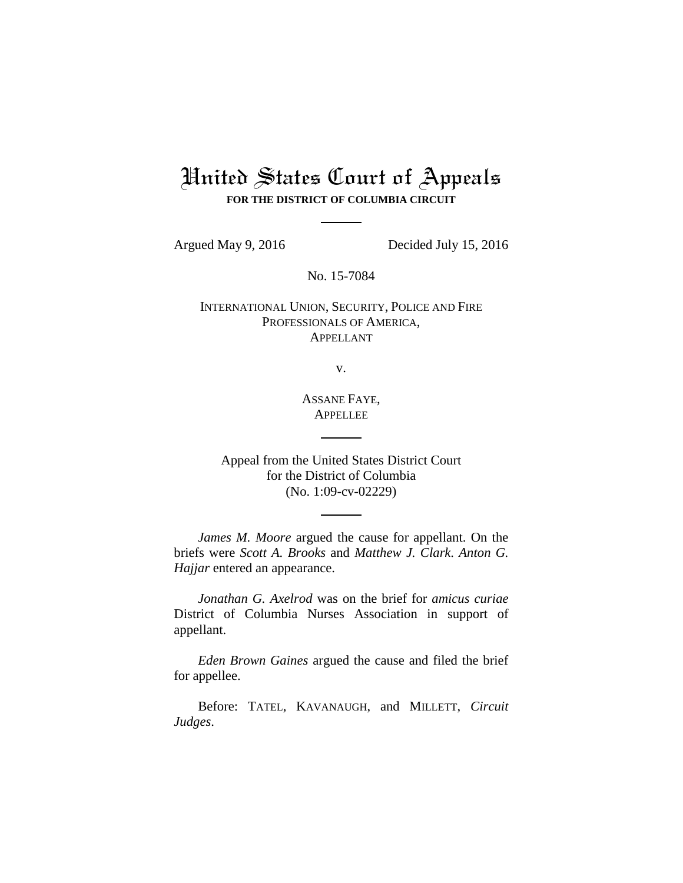# United States Court of Appeals **FOR THE DISTRICT OF COLUMBIA CIRCUIT**

Argued May 9, 2016 Decided July 15, 2016

No. 15-7084

INTERNATIONAL UNION, SECURITY, POLICE AND FIRE PROFESSIONALS OF AMERICA, APPELLANT

v.

ASSANE FAYE, **APPELLEE** 

Appeal from the United States District Court for the District of Columbia (No. 1:09-cv-02229)

*James M. Moore* argued the cause for appellant. On the briefs were *Scott A. Brooks* and *Matthew J. Clark*. *Anton G. Hajjar* entered an appearance.

*Jonathan G. Axelrod* was on the brief for *amicus curiae*  District of Columbia Nurses Association in support of appellant.

*Eden Brown Gaines* argued the cause and filed the brief for appellee.

Before: TATEL, KAVANAUGH, and MILLETT, *Circuit Judges*.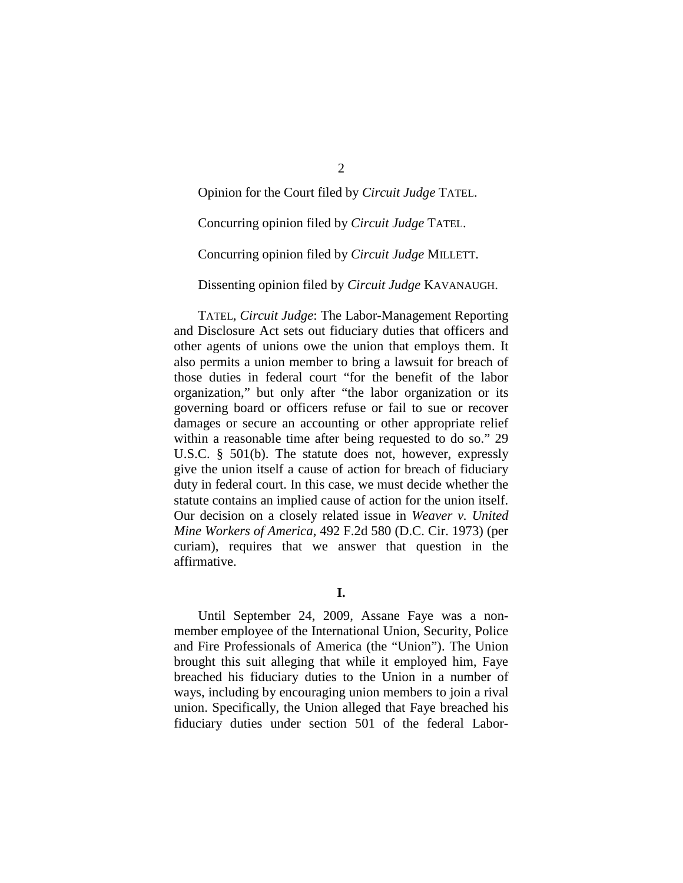Opinion for the Court filed by *Circuit Judge* TATEL.

Concurring opinion filed by *Circuit Judge* TATEL.

Concurring opinion filed by *Circuit Judge* MILLETT.

Dissenting opinion filed by *Circuit Judge* KAVANAUGH.

TATEL, *Circuit Judge*: The Labor-Management Reporting and Disclosure Act sets out fiduciary duties that officers and other agents of unions owe the union that employs them. It also permits a union member to bring a lawsuit for breach of those duties in federal court "for the benefit of the labor organization," but only after "the labor organization or its governing board or officers refuse or fail to sue or recover damages or secure an accounting or other appropriate relief within a reasonable time after being requested to do so." 29 U.S.C. § 501(b). The statute does not, however, expressly give the union itself a cause of action for breach of fiduciary duty in federal court. In this case, we must decide whether the statute contains an implied cause of action for the union itself. Our decision on a closely related issue in *Weaver v. United Mine Workers of America*, 492 F.2d 580 (D.C. Cir. 1973) (per curiam), requires that we answer that question in the affirmative.

**I.**

Until September 24, 2009, Assane Faye was a nonmember employee of the International Union, Security, Police and Fire Professionals of America (the "Union"). The Union brought this suit alleging that while it employed him, Faye breached his fiduciary duties to the Union in a number of ways, including by encouraging union members to join a rival union. Specifically, the Union alleged that Faye breached his fiduciary duties under section 501 of the federal Labor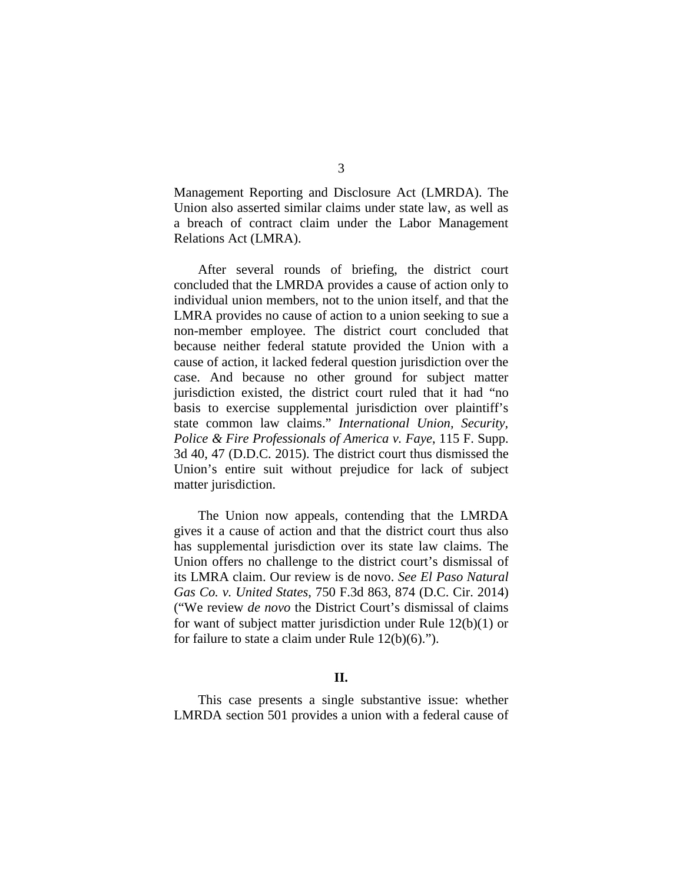Management Reporting and Disclosure Act (LMRDA). The Union also asserted similar claims under state law, as well as a breach of contract claim under the Labor Management Relations Act (LMRA).

After several rounds of briefing, the district court concluded that the LMRDA provides a cause of action only to individual union members, not to the union itself, and that the LMRA provides no cause of action to a union seeking to sue a non-member employee. The district court concluded that because neither federal statute provided the Union with a cause of action, it lacked federal question jurisdiction over the case. And because no other ground for subject matter jurisdiction existed, the district court ruled that it had "no basis to exercise supplemental jurisdiction over plaintiff's state common law claims." *International Union, Security, Police & Fire Professionals of America v. Faye*, 115 F. Supp. 3d 40, 47 (D.D.C. 2015). The district court thus dismissed the Union's entire suit without prejudice for lack of subject matter jurisdiction.

The Union now appeals, contending that the LMRDA gives it a cause of action and that the district court thus also has supplemental jurisdiction over its state law claims. The Union offers no challenge to the district court's dismissal of its LMRA claim. Our review is de novo. *See El Paso Natural Gas Co. v. United States*, 750 F.3d 863, 874 (D.C. Cir. 2014) ("We review *de novo* the District Court's dismissal of claims for want of subject matter jurisdiction under Rule 12(b)(1) or for failure to state a claim under Rule 12(b)(6).").

#### **II.**

This case presents a single substantive issue: whether LMRDA section 501 provides a union with a federal cause of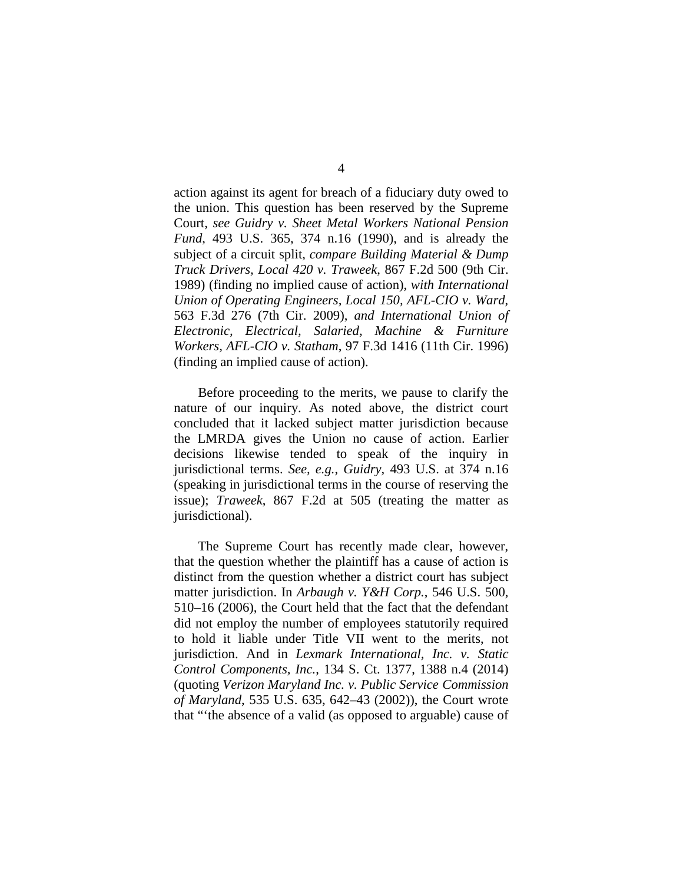action against its agent for breach of a fiduciary duty owed to the union. This question has been reserved by the Supreme Court, *see Guidry v. Sheet Metal Workers National Pension Fund*, 493 U.S. 365, 374 n.16 (1990), and is already the subject of a circuit split, *compare Building Material & Dump Truck Drivers, Local 420 v. Traweek*, 867 F.2d 500 (9th Cir. 1989) (finding no implied cause of action), *with International Union of Operating Engineers, Local 150, AFL-CIO v. Ward*, 563 F.3d 276 (7th Cir. 2009), *and International Union of Electronic, Electrical, Salaried, Machine & Furniture Workers, AFL-CIO v. Statham*, 97 F.3d 1416 (11th Cir. 1996) (finding an implied cause of action).

Before proceeding to the merits, we pause to clarify the nature of our inquiry. As noted above, the district court concluded that it lacked subject matter jurisdiction because the LMRDA gives the Union no cause of action. Earlier decisions likewise tended to speak of the inquiry in jurisdictional terms. *See, e.g.*, *Guidry*, 493 U.S. at 374 n.16 (speaking in jurisdictional terms in the course of reserving the issue); *Traweek*, 867 F.2d at 505 (treating the matter as jurisdictional).

The Supreme Court has recently made clear, however, that the question whether the plaintiff has a cause of action is distinct from the question whether a district court has subject matter jurisdiction. In *Arbaugh v. Y&H Corp.*, 546 U.S. 500, 510–16 (2006), the Court held that the fact that the defendant did not employ the number of employees statutorily required to hold it liable under Title VII went to the merits, not jurisdiction. And in *Lexmark International, Inc. v. Static Control Components, Inc.*, 134 S. Ct. 1377, 1388 n.4 (2014) (quoting *Verizon Maryland Inc. v. Public Service Commission of Maryland*, 535 U.S. 635, 642–43 (2002)), the Court wrote that "'the absence of a valid (as opposed to arguable) cause of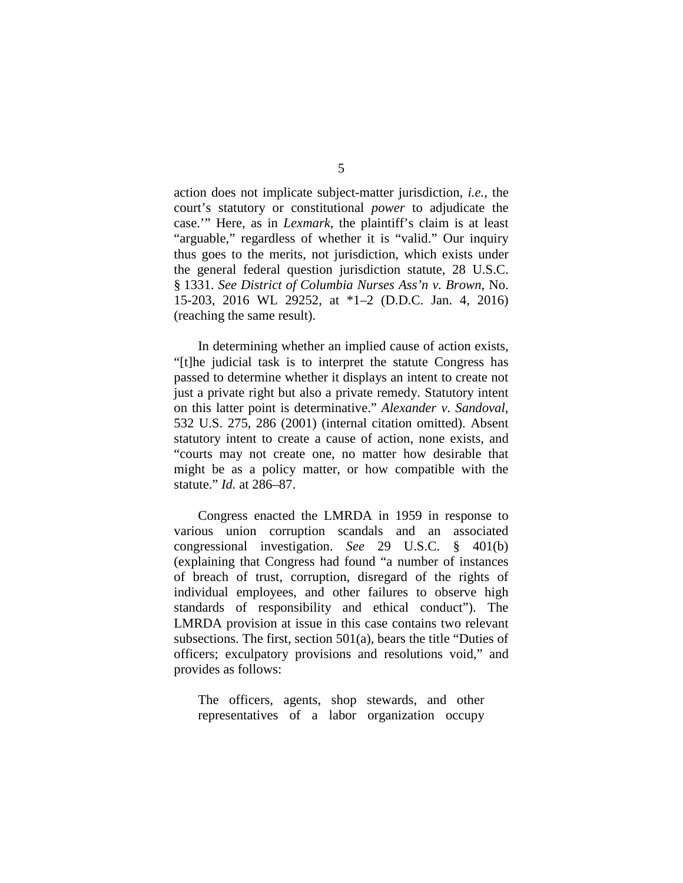action does not implicate subject-matter jurisdiction, *i.e.*, the court's statutory or constitutional *power* to adjudicate the case.'" Here, as in *Lexmark*, the plaintiff's claim is at least "arguable," regardless of whether it is "valid." Our inquiry thus goes to the merits, not jurisdiction, which exists under the general federal question jurisdiction statute, 28 U.S.C. § 1331. *See District of Columbia Nurses Ass'n v. Brown*, No. 15-203, 2016 WL 29252, at \*1–2 (D.D.C. Jan. 4, 2016) (reaching the same result).

In determining whether an implied cause of action exists, "[t]he judicial task is to interpret the statute Congress has passed to determine whether it displays an intent to create not just a private right but also a private remedy. Statutory intent on this latter point is determinative." *Alexander v. Sandoval*, 532 U.S. 275, 286 (2001) (internal citation omitted). Absent statutory intent to create a cause of action, none exists, and "courts may not create one, no matter how desirable that might be as a policy matter, or how compatible with the statute." *Id.* at 286–87.

Congress enacted the LMRDA in 1959 in response to various union corruption scandals and an associated congressional investigation. *See* 29 U.S.C. § 401(b) (explaining that Congress had found "a number of instances of breach of trust, corruption, disregard of the rights of individual employees, and other failures to observe high standards of responsibility and ethical conduct"). The LMRDA provision at issue in this case contains two relevant subsections. The first, section 501(a), bears the title "Duties of officers; exculpatory provisions and resolutions void," and provides as follows:

The officers, agents, shop stewards, and other representatives of a labor organization occupy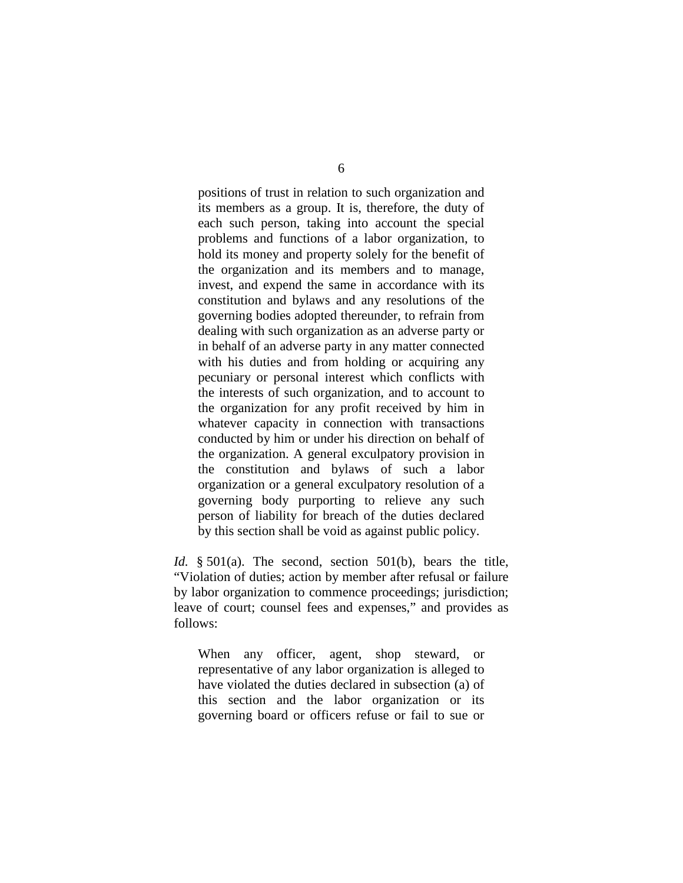positions of trust in relation to such organization and its members as a group. It is, therefore, the duty of each such person, taking into account the special problems and functions of a labor organization, to hold its money and property solely for the benefit of the organization and its members and to manage, invest, and expend the same in accordance with its constitution and bylaws and any resolutions of the governing bodies adopted thereunder, to refrain from dealing with such organization as an adverse party or in behalf of an adverse party in any matter connected with his duties and from holding or acquiring any pecuniary or personal interest which conflicts with the interests of such organization, and to account to the organization for any profit received by him in whatever capacity in connection with transactions conducted by him or under his direction on behalf of the organization. A general exculpatory provision in the constitution and bylaws of such a labor organization or a general exculpatory resolution of a governing body purporting to relieve any such person of liability for breach of the duties declared by this section shall be void as against public policy.

*Id.* § 501(a). The second, section 501(b), bears the title, "Violation of duties; action by member after refusal or failure by labor organization to commence proceedings; jurisdiction; leave of court; counsel fees and expenses," and provides as follows:

When any officer, agent, shop steward, or representative of any labor organization is alleged to have violated the duties declared in subsection (a) of this section and the labor organization or its governing board or officers refuse or fail to sue or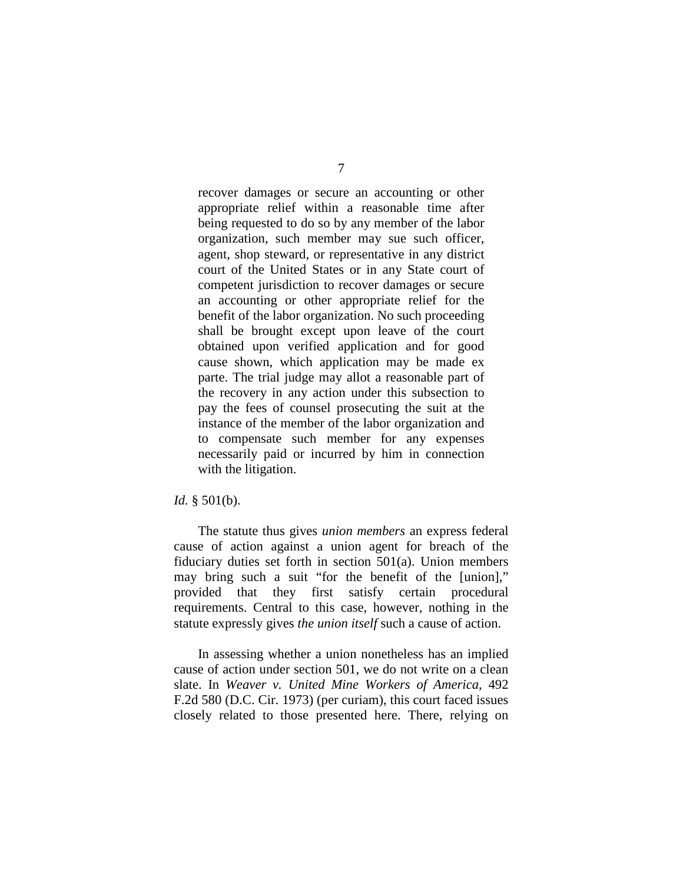recover damages or secure an accounting or other appropriate relief within a reasonable time after being requested to do so by any member of the labor organization, such member may sue such officer, agent, shop steward, or representative in any district court of the United States or in any State court of competent jurisdiction to recover damages or secure an accounting or other appropriate relief for the benefit of the labor organization. No such proceeding shall be brought except upon leave of the court obtained upon verified application and for good cause shown, which application may be made ex parte. The trial judge may allot a reasonable part of the recovery in any action under this subsection to pay the fees of counsel prosecuting the suit at the instance of the member of the labor organization and to compensate such member for any expenses necessarily paid or incurred by him in connection with the litigation.

#### *Id.* § 501(b).

The statute thus gives *union members* an express federal cause of action against a union agent for breach of the fiduciary duties set forth in section 501(a). Union members may bring such a suit "for the benefit of the [union]," provided that they first satisfy certain procedural requirements. Central to this case, however, nothing in the statute expressly gives *the union itself* such a cause of action.

In assessing whether a union nonetheless has an implied cause of action under section 501, we do not write on a clean slate. In *Weaver v. United Mine Workers of America*, 492 F.2d 580 (D.C. Cir. 1973) (per curiam), this court faced issues closely related to those presented here. There, relying on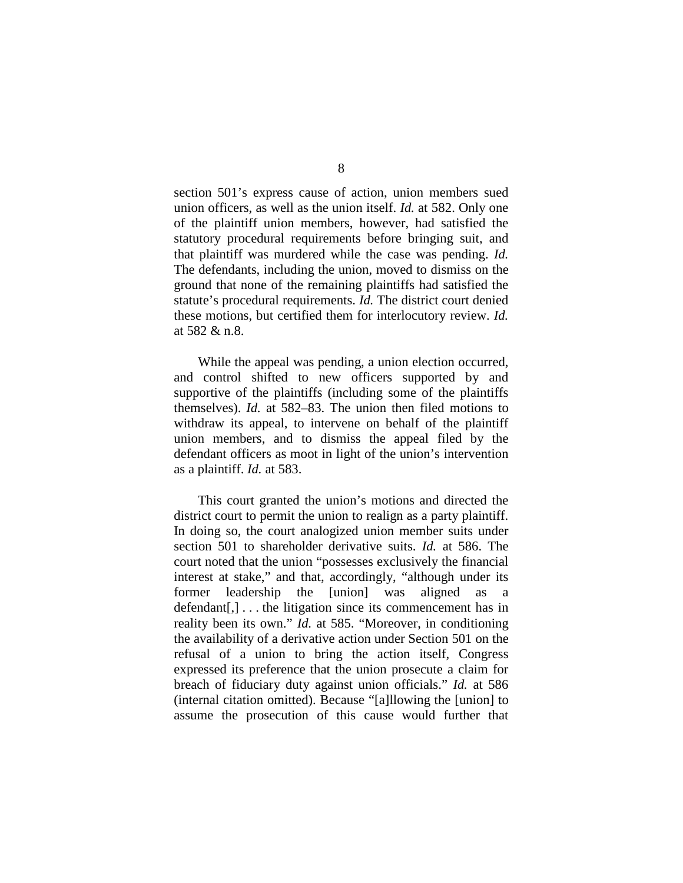section 501's express cause of action, union members sued union officers, as well as the union itself. *Id.* at 582. Only one of the plaintiff union members, however, had satisfied the statutory procedural requirements before bringing suit, and that plaintiff was murdered while the case was pending. *Id.* The defendants, including the union, moved to dismiss on the ground that none of the remaining plaintiffs had satisfied the statute's procedural requirements. *Id.* The district court denied these motions, but certified them for interlocutory review. *Id.* at 582 & n.8.

While the appeal was pending, a union election occurred, and control shifted to new officers supported by and supportive of the plaintiffs (including some of the plaintiffs themselves). *Id.* at 582–83. The union then filed motions to withdraw its appeal, to intervene on behalf of the plaintiff union members, and to dismiss the appeal filed by the defendant officers as moot in light of the union's intervention as a plaintiff. *Id.* at 583.

This court granted the union's motions and directed the district court to permit the union to realign as a party plaintiff. In doing so, the court analogized union member suits under section 501 to shareholder derivative suits. *Id.* at 586. The court noted that the union "possesses exclusively the financial interest at stake," and that, accordingly, "although under its former leadership the [union] was aligned as a  $defendant[,] \ldots$  the litigation since its commencement has in reality been its own." *Id.* at 585. "Moreover, in conditioning the availability of a derivative action under Section 501 on the refusal of a union to bring the action itself, Congress expressed its preference that the union prosecute a claim for breach of fiduciary duty against union officials." *Id.* at 586 (internal citation omitted). Because "[a]llowing the [union] to assume the prosecution of this cause would further that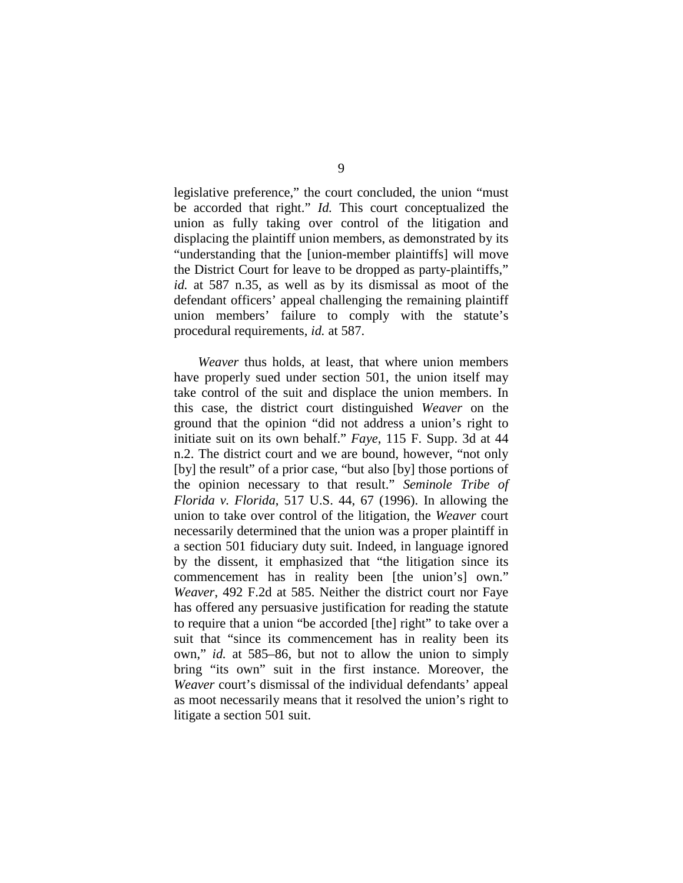legislative preference," the court concluded, the union "must be accorded that right." *Id.* This court conceptualized the union as fully taking over control of the litigation and displacing the plaintiff union members, as demonstrated by its "understanding that the [union-member plaintiffs] will move the District Court for leave to be dropped as party-plaintiffs," *id.* at 587 n.35, as well as by its dismissal as moot of the defendant officers' appeal challenging the remaining plaintiff union members' failure to comply with the statute's procedural requirements, *id.* at 587.

*Weaver* thus holds, at least, that where union members have properly sued under section 501, the union itself may take control of the suit and displace the union members. In this case, the district court distinguished *Weaver* on the ground that the opinion "did not address a union's right to initiate suit on its own behalf." *Faye*, 115 F. Supp. 3d at 44 n.2. The district court and we are bound, however, "not only [by] the result" of a prior case, "but also [by] those portions of the opinion necessary to that result." *Seminole Tribe of Florida v. Florida*, 517 U.S. 44, 67 (1996). In allowing the union to take over control of the litigation, the *Weaver* court necessarily determined that the union was a proper plaintiff in a section 501 fiduciary duty suit. Indeed, in language ignored by the dissent, it emphasized that "the litigation since its commencement has in reality been [the union's] own." *Weaver*, 492 F.2d at 585. Neither the district court nor Faye has offered any persuasive justification for reading the statute to require that a union "be accorded [the] right" to take over a suit that "since its commencement has in reality been its own," *id.* at 585–86, but not to allow the union to simply bring "its own" suit in the first instance. Moreover, the *Weaver* court's dismissal of the individual defendants' appeal as moot necessarily means that it resolved the union's right to litigate a section 501 suit.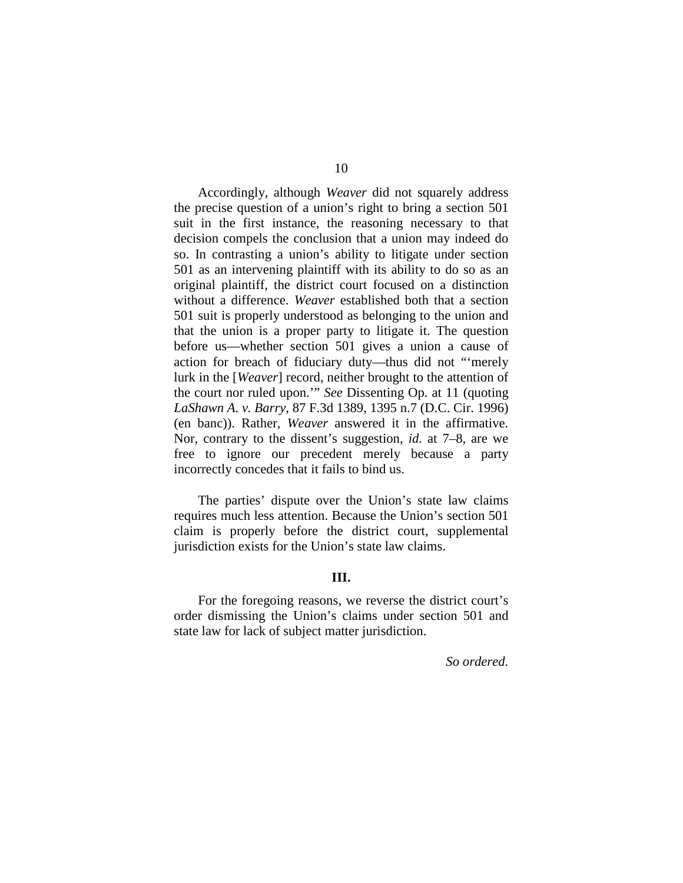Accordingly, although *Weaver* did not squarely address the precise question of a union's right to bring a section 501 suit in the first instance, the reasoning necessary to that decision compels the conclusion that a union may indeed do so. In contrasting a union's ability to litigate under section 501 as an intervening plaintiff with its ability to do so as an original plaintiff, the district court focused on a distinction without a difference. *Weaver* established both that a section 501 suit is properly understood as belonging to the union and that the union is a proper party to litigate it. The question before us—whether section 501 gives a union a cause of action for breach of fiduciary duty—thus did not "'merely lurk in the [*Weaver*] record, neither brought to the attention of the court nor ruled upon.'" *See* Dissenting Op. at 11 (quoting *LaShawn A. v. Barry*, 87 F.3d 1389, 1395 n.7 (D.C. Cir. 1996) (en banc)). Rather, *Weaver* answered it in the affirmative. Nor, contrary to the dissent's suggestion, *id.* at 7–8, are we free to ignore our precedent merely because a party incorrectly concedes that it fails to bind us.

The parties' dispute over the Union's state law claims requires much less attention. Because the Union's section 501 claim is properly before the district court, supplemental jurisdiction exists for the Union's state law claims.

### **III.**

For the foregoing reasons, we reverse the district court's order dismissing the Union's claims under section 501 and state law for lack of subject matter jurisdiction.

*So ordered*.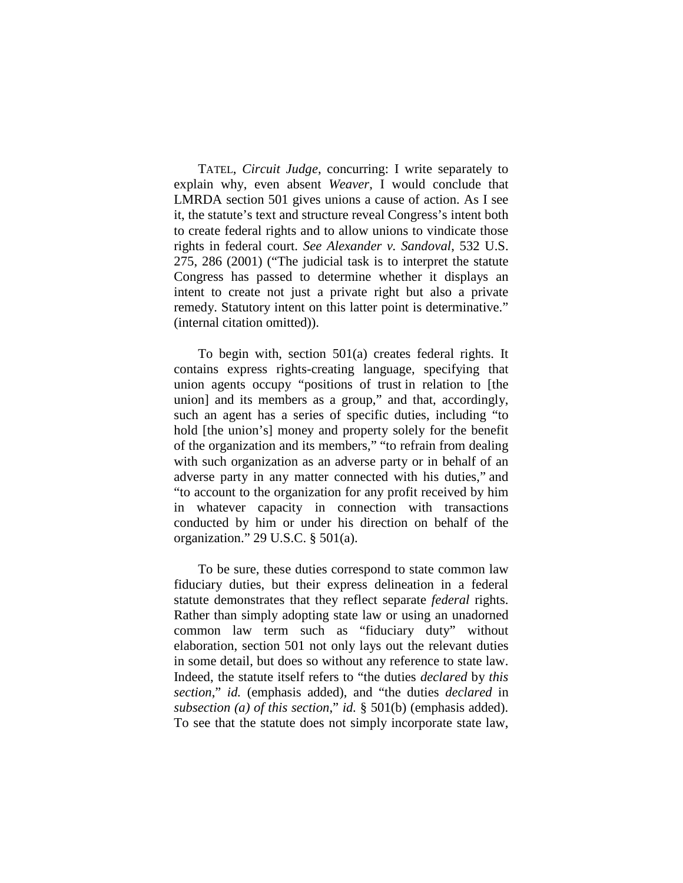TATEL, *Circuit Judge*, concurring: I write separately to explain why, even absent *Weaver*, I would conclude that LMRDA section 501 gives unions a cause of action. As I see it, the statute's text and structure reveal Congress's intent both to create federal rights and to allow unions to vindicate those rights in federal court. *See Alexander v. Sandoval*, 532 U.S. 275, 286 (2001) ("The judicial task is to interpret the statute Congress has passed to determine whether it displays an intent to create not just a private right but also a private remedy. Statutory intent on this latter point is determinative." (internal citation omitted)).

To begin with, section 501(a) creates federal rights. It contains express rights-creating language, specifying that union agents occupy "positions of trust in relation to [the union] and its members as a group," and that, accordingly, such an agent has a series of specific duties, including "to hold [the union's] money and property solely for the benefit of the organization and its members," "to refrain from dealing with such organization as an adverse party or in behalf of an adverse party in any matter connected with his duties," and "to account to the organization for any profit received by him in whatever capacity in connection with transactions conducted by him or under his direction on behalf of the organization." 29 U.S.C. § 501(a).

To be sure, these duties correspond to state common law fiduciary duties, but their express delineation in a federal statute demonstrates that they reflect separate *federal* rights. Rather than simply adopting state law or using an unadorned common law term such as "fiduciary duty" without elaboration, section 501 not only lays out the relevant duties in some detail, but does so without any reference to state law. Indeed, the statute itself refers to "the duties *declared* by *this section*," *id.* (emphasis added), and "the duties *declared* in *subsection (a) of this section*," *id.* § 501(b) (emphasis added). To see that the statute does not simply incorporate state law,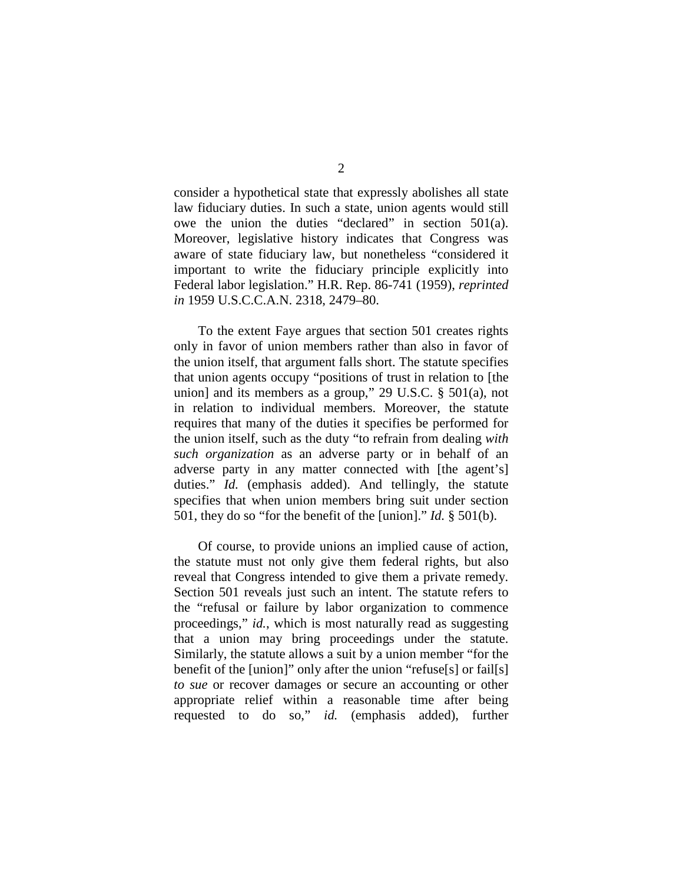consider a hypothetical state that expressly abolishes all state law fiduciary duties. In such a state, union agents would still owe the union the duties "declared" in section 501(a). Moreover, legislative history indicates that Congress was aware of state fiduciary law, but nonetheless "considered it important to write the fiduciary principle explicitly into Federal labor legislation." H.R. Rep. 86-741 (1959), *reprinted in* 1959 U.S.C.C.A.N. 2318, 2479–80.

To the extent Faye argues that section 501 creates rights only in favor of union members rather than also in favor of the union itself, that argument falls short. The statute specifies that union agents occupy "positions of trust in relation to [the union] and its members as a group," 29 U.S.C. § 501(a), not in relation to individual members. Moreover, the statute requires that many of the duties it specifies be performed for the union itself, such as the duty "to refrain from dealing *with such organization* as an adverse party or in behalf of an adverse party in any matter connected with [the agent's] duties." *Id.* (emphasis added). And tellingly, the statute specifies that when union members bring suit under section 501, they do so "for the benefit of the [union]." *Id.* § 501(b).

Of course, to provide unions an implied cause of action, the statute must not only give them federal rights, but also reveal that Congress intended to give them a private remedy. Section 501 reveals just such an intent. The statute refers to the "refusal or failure by labor organization to commence proceedings," *id.*, which is most naturally read as suggesting that a union may bring proceedings under the statute. Similarly, the statute allows a suit by a union member "for the benefit of the [union]" only after the union "refuse[s] or fail[s] *to sue* or recover damages or secure an accounting or other appropriate relief within a reasonable time after being requested to do so," *id.* (emphasis added), further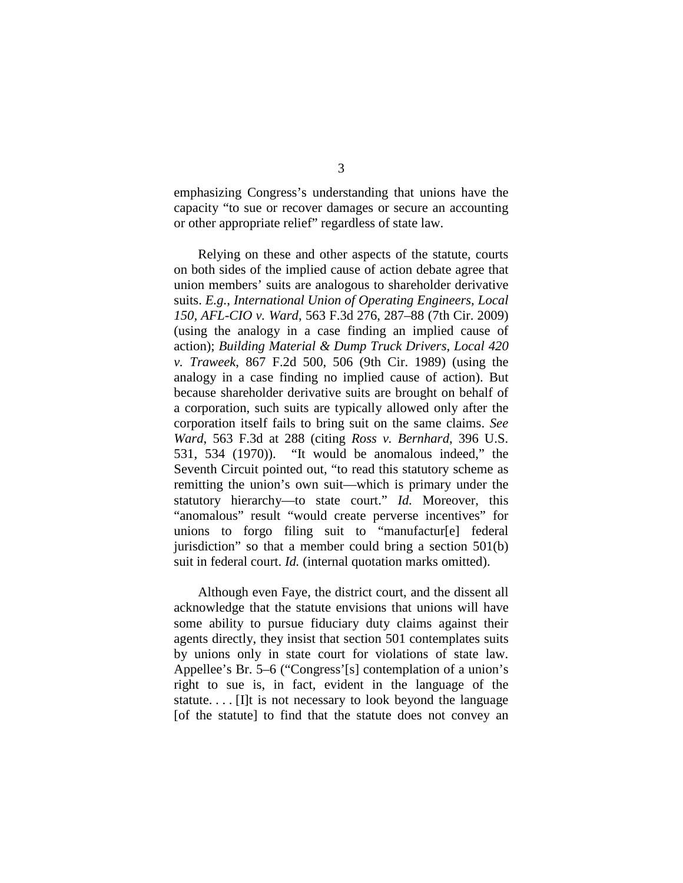emphasizing Congress's understanding that unions have the capacity "to sue or recover damages or secure an accounting or other appropriate relief" regardless of state law.

Relying on these and other aspects of the statute, courts on both sides of the implied cause of action debate agree that union members' suits are analogous to shareholder derivative suits. *E.g.*, *International Union of Operating Engineers, Local 150, AFL-CIO v. Ward*, 563 F.3d 276, 287–88 (7th Cir. 2009) (using the analogy in a case finding an implied cause of action); *Building Material & Dump Truck Drivers, Local 420 v. Traweek*, 867 F.2d 500, 506 (9th Cir. 1989) (using the analogy in a case finding no implied cause of action). But because shareholder derivative suits are brought on behalf of a corporation, such suits are typically allowed only after the corporation itself fails to bring suit on the same claims. *See Ward*, 563 F.3d at 288 (citing *Ross v. Bernhard*, 396 U.S. 531, 534 (1970)). "It would be anomalous indeed," the Seventh Circuit pointed out, "to read this statutory scheme as remitting the union's own suit—which is primary under the statutory hierarchy—to state court." *Id.* Moreover, this "anomalous" result "would create perverse incentives" for unions to forgo filing suit to "manufactur[e] federal jurisdiction" so that a member could bring a section 501(b) suit in federal court. *Id.* (internal quotation marks omitted).

Although even Faye, the district court, and the dissent all acknowledge that the statute envisions that unions will have some ability to pursue fiduciary duty claims against their agents directly, they insist that section 501 contemplates suits by unions only in state court for violations of state law. Appellee's Br. 5–6 ("Congress'[s] contemplation of a union's right to sue is, in fact, evident in the language of the statute. . . . [I]t is not necessary to look beyond the language [of the statute] to find that the statute does not convey an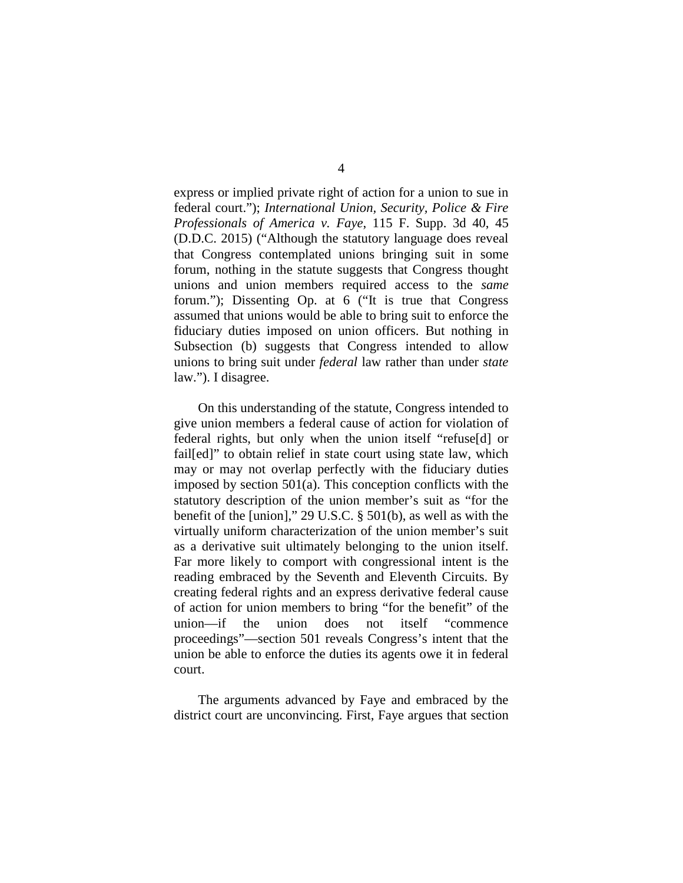express or implied private right of action for a union to sue in federal court."); *International Union, Security, Police & Fire Professionals of America v. Faye*, 115 F. Supp. 3d 40, 45 (D.D.C. 2015) ("Although the statutory language does reveal that Congress contemplated unions bringing suit in some forum, nothing in the statute suggests that Congress thought unions and union members required access to the *same* forum."); Dissenting Op. at 6 ("It is true that Congress assumed that unions would be able to bring suit to enforce the fiduciary duties imposed on union officers. But nothing in Subsection (b) suggests that Congress intended to allow unions to bring suit under *federal* law rather than under *state* law."). I disagree.

On this understanding of the statute, Congress intended to give union members a federal cause of action for violation of federal rights, but only when the union itself "refuse[d] or fail[ed]" to obtain relief in state court using state law, which may or may not overlap perfectly with the fiduciary duties imposed by section 501(a). This conception conflicts with the statutory description of the union member's suit as "for the benefit of the [union]," 29 U.S.C. § 501(b), as well as with the virtually uniform characterization of the union member's suit as a derivative suit ultimately belonging to the union itself. Far more likely to comport with congressional intent is the reading embraced by the Seventh and Eleventh Circuits. By creating federal rights and an express derivative federal cause of action for union members to bring "for the benefit" of the union—if the union does not itself "commence proceedings"—section 501 reveals Congress's intent that the union be able to enforce the duties its agents owe it in federal court.

The arguments advanced by Faye and embraced by the district court are unconvincing. First, Faye argues that section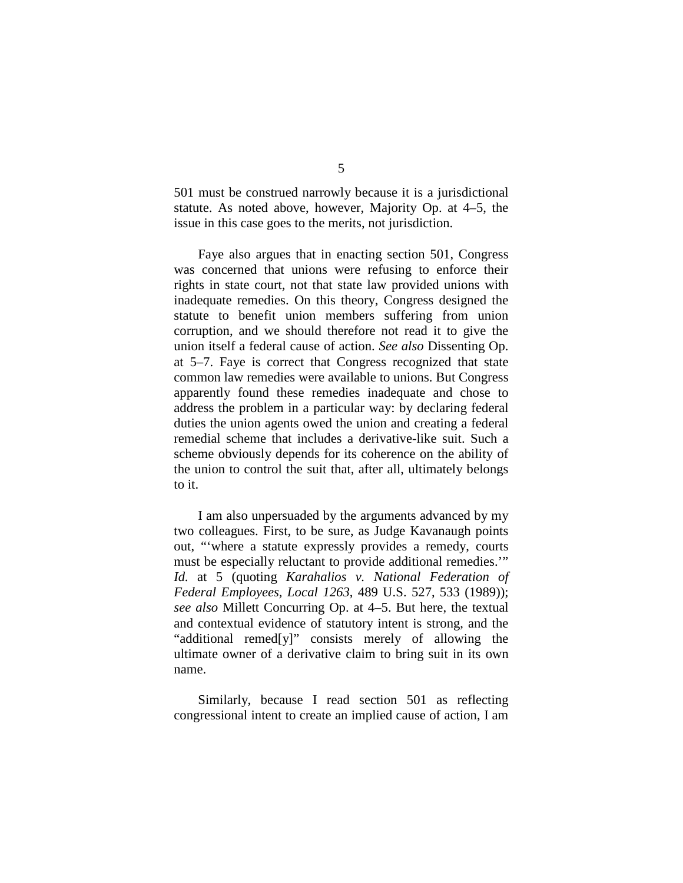501 must be construed narrowly because it is a jurisdictional statute. As noted above, however, Majority Op. at 4–5, the issue in this case goes to the merits, not jurisdiction.

Faye also argues that in enacting section 501, Congress was concerned that unions were refusing to enforce their rights in state court, not that state law provided unions with inadequate remedies. On this theory, Congress designed the statute to benefit union members suffering from union corruption, and we should therefore not read it to give the union itself a federal cause of action. *See also* Dissenting Op. at 5–7. Faye is correct that Congress recognized that state common law remedies were available to unions. But Congress apparently found these remedies inadequate and chose to address the problem in a particular way: by declaring federal duties the union agents owed the union and creating a federal remedial scheme that includes a derivative-like suit. Such a scheme obviously depends for its coherence on the ability of the union to control the suit that, after all, ultimately belongs to it.

I am also unpersuaded by the arguments advanced by my two colleagues. First, to be sure, as Judge Kavanaugh points out, "'where a statute expressly provides a remedy, courts must be especially reluctant to provide additional remedies.'" *Id.* at 5 (quoting *Karahalios v. National Federation of Federal Employees, Local 1263*, 489 U.S. 527, 533 (1989)); *see also* Millett Concurring Op. at 4–5. But here, the textual and contextual evidence of statutory intent is strong, and the "additional remed[y]" consists merely of allowing the ultimate owner of a derivative claim to bring suit in its own name.

Similarly, because I read section 501 as reflecting congressional intent to create an implied cause of action, I am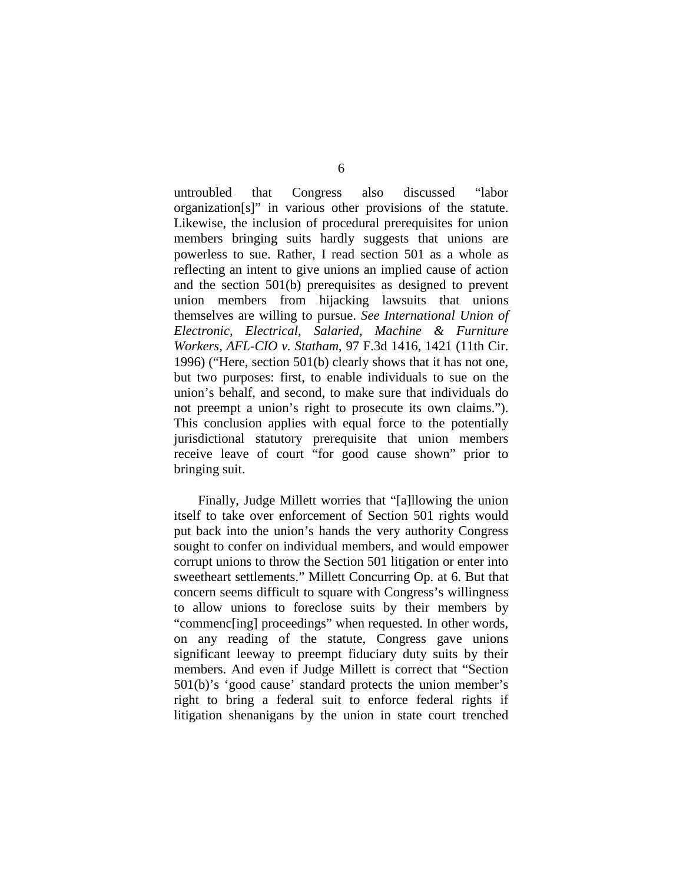untroubled that Congress also discussed "labor organization[s]" in various other provisions of the statute. Likewise, the inclusion of procedural prerequisites for union members bringing suits hardly suggests that unions are powerless to sue. Rather, I read section 501 as a whole as reflecting an intent to give unions an implied cause of action and the section 501(b) prerequisites as designed to prevent union members from hijacking lawsuits that unions themselves are willing to pursue. *See International Union of Electronic, Electrical, Salaried, Machine & Furniture Workers, AFL-CIO v. Statham*, 97 F.3d 1416, 1421 (11th Cir. 1996) ("Here, section 501(b) clearly shows that it has not one, but two purposes: first, to enable individuals to sue on the union's behalf, and second, to make sure that individuals do not preempt a union's right to prosecute its own claims."). This conclusion applies with equal force to the potentially jurisdictional statutory prerequisite that union members receive leave of court "for good cause shown" prior to bringing suit.

Finally, Judge Millett worries that "[a]llowing the union itself to take over enforcement of Section 501 rights would put back into the union's hands the very authority Congress sought to confer on individual members, and would empower corrupt unions to throw the Section 501 litigation or enter into sweetheart settlements." Millett Concurring Op. at 6. But that concern seems difficult to square with Congress's willingness to allow unions to foreclose suits by their members by "commenc[ing] proceedings" when requested. In other words, on any reading of the statute, Congress gave unions significant leeway to preempt fiduciary duty suits by their members. And even if Judge Millett is correct that "Section 501(b)'s 'good cause' standard protects the union member's right to bring a federal suit to enforce federal rights if litigation shenanigans by the union in state court trenched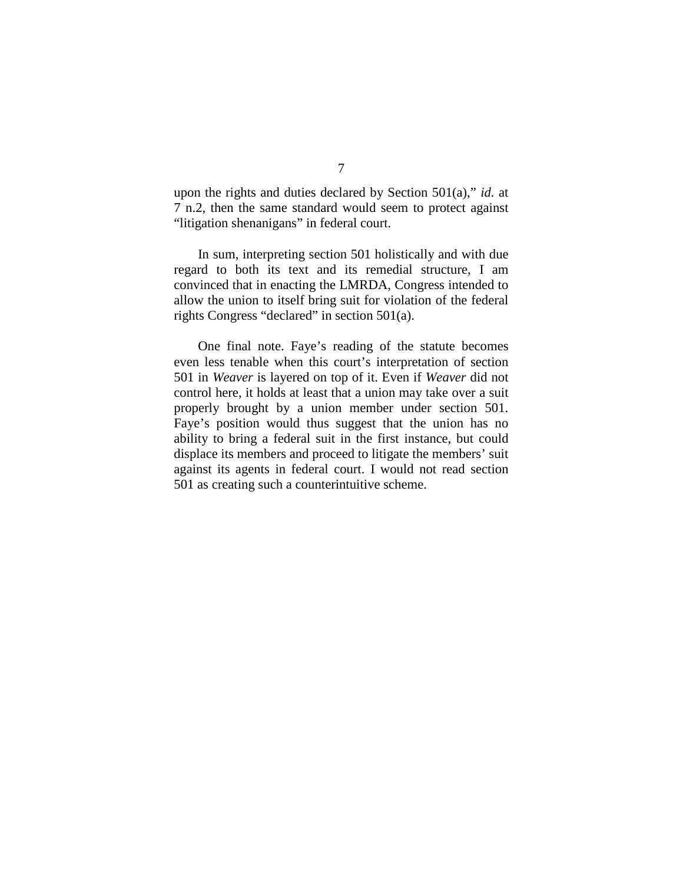upon the rights and duties declared by Section 501(a)," *id.* at 7 n.2, then the same standard would seem to protect against "litigation shenanigans" in federal court.

In sum, interpreting section 501 holistically and with due regard to both its text and its remedial structure, I am convinced that in enacting the LMRDA, Congress intended to allow the union to itself bring suit for violation of the federal rights Congress "declared" in section 501(a).

One final note. Faye's reading of the statute becomes even less tenable when this court's interpretation of section 501 in *Weaver* is layered on top of it. Even if *Weaver* did not control here, it holds at least that a union may take over a suit properly brought by a union member under section 501. Faye's position would thus suggest that the union has no ability to bring a federal suit in the first instance, but could displace its members and proceed to litigate the members' suit against its agents in federal court. I would not read section 501 as creating such a counterintuitive scheme.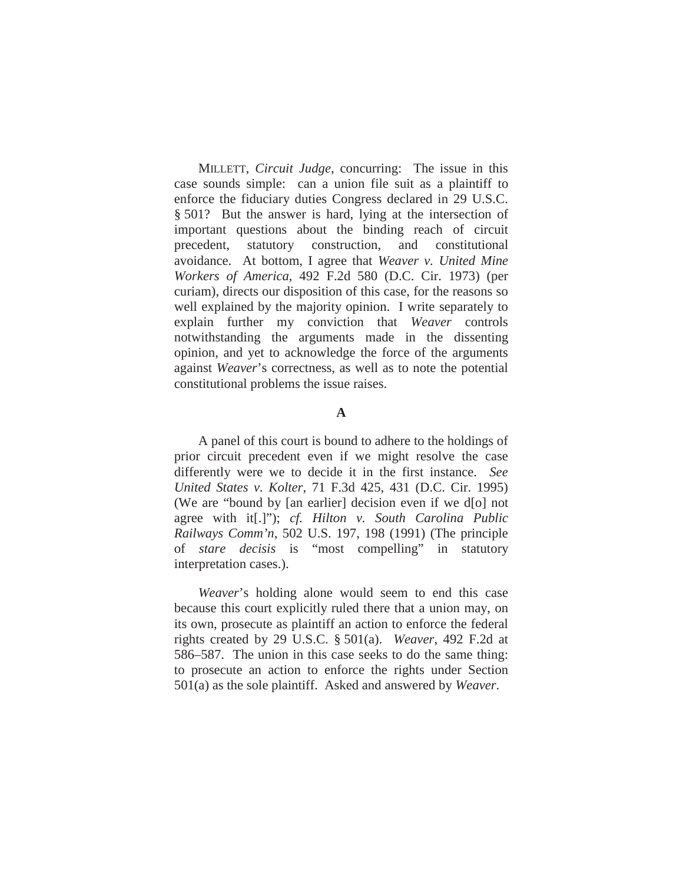MILLETT, *Circuit Judge*, concurring: The issue in this case sounds simple: can a union file suit as a plaintiff to enforce the fiduciary duties Congress declared in 29 U.S.C. § 501? But the answer is hard, lying at the intersection of important questions about the binding reach of circuit precedent, statutory construction, and constitutional avoidance. At bottom, I agree that *Weaver v. United Mine Workers of America*, 492 F.2d 580 (D.C. Cir. 1973) (per curiam), directs our disposition of this case, for the reasons so well explained by the majority opinion. I write separately to explain further my conviction that *Weaver* controls notwithstanding the arguments made in the dissenting opinion, and yet to acknowledge the force of the arguments against *Weaver*'s correctness, as well as to note the potential constitutional problems the issue raises.

## **A**

A panel of this court is bound to adhere to the holdings of prior circuit precedent even if we might resolve the case differently were we to decide it in the first instance. *See United States v. Kolter*, 71 F.3d 425, 431 (D.C. Cir. 1995) (We are "bound by [an earlier] decision even if we d[o] not agree with it[.]"); *cf. Hilton v. South Carolina Public Railways Comm'n*, 502 U.S. 197, 198 (1991) (The principle of *stare decisis* is "most compelling" in statutory interpretation cases.).

*Weaver*'s holding alone would seem to end this case because this court explicitly ruled there that a union may, on its own, prosecute as plaintiff an action to enforce the federal rights created by 29 U.S.C. § 501(a). *Weaver*, 492 F.2d at 586–587. The union in this case seeks to do the same thing: to prosecute an action to enforce the rights under Section 501(a) as the sole plaintiff. Asked and answered by *Weaver*.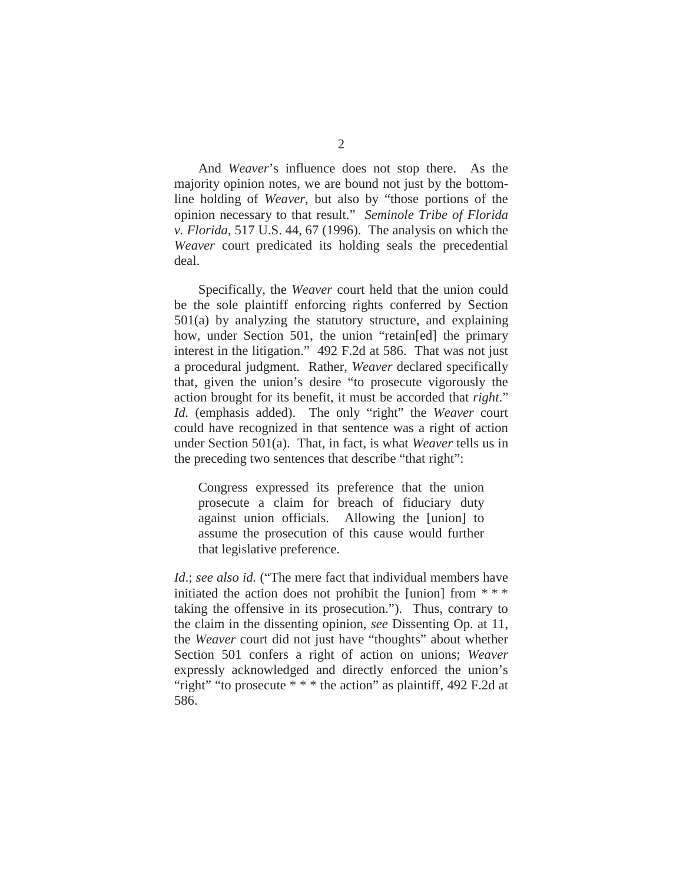And *Weaver*'s influence does not stop there. As the majority opinion notes, we are bound not just by the bottomline holding of *Weaver*, but also by "those portions of the opinion necessary to that result." *Seminole Tribe of Florida v. Florida*, 517 U.S. 44, 67 (1996). The analysis on which the *Weaver* court predicated its holding seals the precedential deal.

Specifically, the *Weaver* court held that the union could be the sole plaintiff enforcing rights conferred by Section 501(a) by analyzing the statutory structure, and explaining how, under Section 501, the union "retain[ed] the primary interest in the litigation." 492 F.2d at 586. That was not just a procedural judgment. Rather, *Weaver* declared specifically that, given the union's desire "to prosecute vigorously the action brought for its benefit, it must be accorded that *right*." *Id.* (emphasis added). The only "right" the *Weaver* court could have recognized in that sentence was a right of action under Section 501(a). That, in fact, is what *Weaver* tells us in the preceding two sentences that describe "that right":

Congress expressed its preference that the union prosecute a claim for breach of fiduciary duty against union officials. Allowing the [union] to assume the prosecution of this cause would further that legislative preference.

*Id*.; *see also id.* ("The mere fact that individual members have initiated the action does not prohibit the [union] from  $***$ taking the offensive in its prosecution."). Thus, contrary to the claim in the dissenting opinion, *see* Dissenting Op. at 11, the *Weaver* court did not just have "thoughts" about whether Section 501 confers a right of action on unions; *Weaver* expressly acknowledged and directly enforced the union's "right" "to prosecute \* \* \* the action" as plaintiff, 492 F.2d at 586.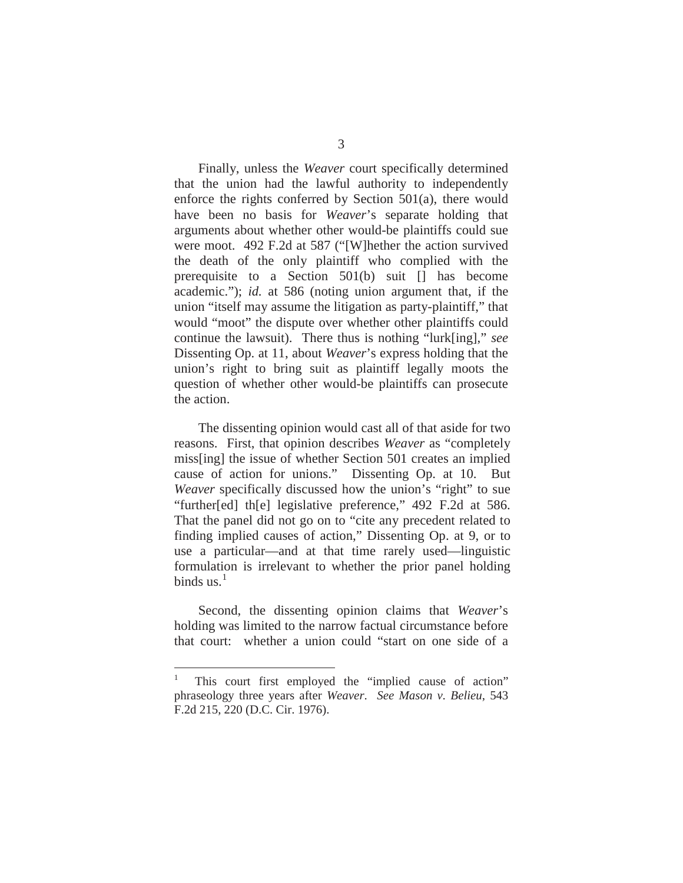Finally, unless the *Weaver* court specifically determined that the union had the lawful authority to independently enforce the rights conferred by Section 501(a), there would have been no basis for *Weaver*'s separate holding that arguments about whether other would-be plaintiffs could sue were moot. 492 F.2d at 587 ("[W]hether the action survived the death of the only plaintiff who complied with the prerequisite to a Section 501(b) suit [] has become academic."); *id.* at 586 (noting union argument that, if the union "itself may assume the litigation as party-plaintiff," that would "moot" the dispute over whether other plaintiffs could continue the lawsuit). There thus is nothing "lurk[ing]," *see*  Dissenting Op. at 11, about *Weaver*'s express holding that the union's right to bring suit as plaintiff legally moots the question of whether other would-be plaintiffs can prosecute the action.

The dissenting opinion would cast all of that aside for two reasons. First, that opinion describes *Weaver* as "completely miss[ing] the issue of whether Section 501 creates an implied cause of action for unions." Dissenting Op. at 10. But *Weaver* specifically discussed how the union's "right" to sue "further[ed] th[e] legislative preference," 492 F.2d at 586. That the panel did not go on to "cite any precedent related to finding implied causes of action," Dissenting Op. at 9, or to use a particular—and at that time rarely used—linguistic formulation is irrelevant to whether the prior panel holding binds us. $<sup>1</sup>$ </sup>

Second, the dissenting opinion claims that *Weaver*'s holding was limited to the narrow factual circumstance before that court: whether a union could "start on one side of a

This court first employed the "implied cause of action" phraseology three years after *Weaver*. *See Mason v. Belieu*, 543 F.2d 215, 220 (D.C. Cir. 1976).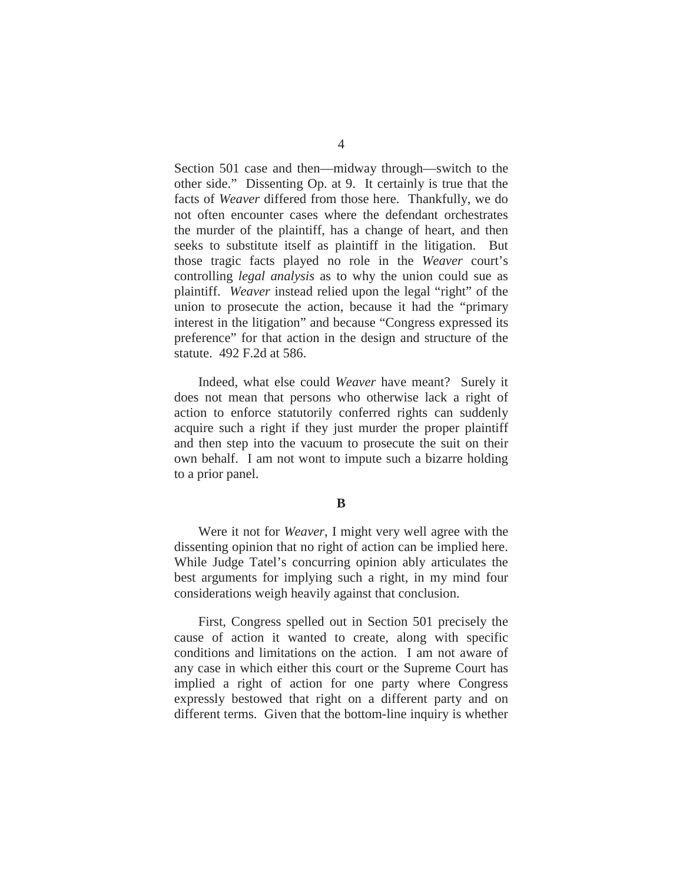Section 501 case and then—midway through—switch to the other side." Dissenting Op. at 9. It certainly is true that the facts of *Weaver* differed from those here. Thankfully, we do not often encounter cases where the defendant orchestrates the murder of the plaintiff, has a change of heart, and then seeks to substitute itself as plaintiff in the litigation. But those tragic facts played no role in the *Weaver* court's controlling *legal analysis* as to why the union could sue as plaintiff. *Weaver* instead relied upon the legal "right" of the union to prosecute the action, because it had the "primary interest in the litigation" and because "Congress expressed its preference" for that action in the design and structure of the statute. 492 F.2d at 586.

Indeed, what else could *Weaver* have meant? Surely it does not mean that persons who otherwise lack a right of action to enforce statutorily conferred rights can suddenly acquire such a right if they just murder the proper plaintiff and then step into the vacuum to prosecute the suit on their own behalf. I am not wont to impute such a bizarre holding to a prior panel.

#### **B**

Were it not for *Weaver*, I might very well agree with the dissenting opinion that no right of action can be implied here. While Judge Tatel's concurring opinion ably articulates the best arguments for implying such a right, in my mind four considerations weigh heavily against that conclusion.

First, Congress spelled out in Section 501 precisely the cause of action it wanted to create, along with specific conditions and limitations on the action. I am not aware of any case in which either this court or the Supreme Court has implied a right of action for one party where Congress expressly bestowed that right on a different party and on different terms. Given that the bottom-line inquiry is whether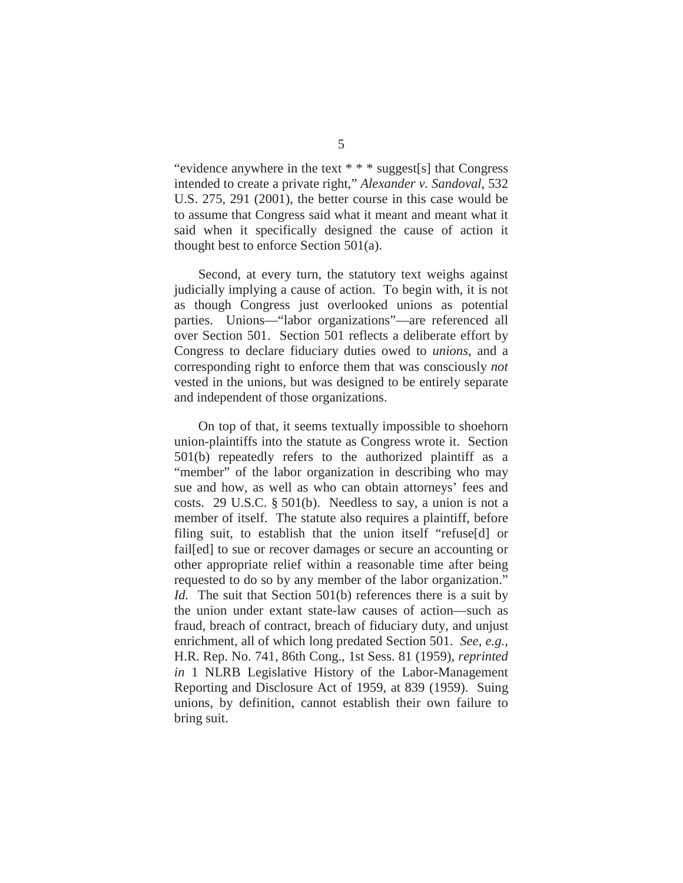"evidence anywhere in the text \* \* \* suggest[s] that Congress intended to create a private right," *Alexander v. Sandoval*, 532 U.S. 275, 291 (2001), the better course in this case would be to assume that Congress said what it meant and meant what it said when it specifically designed the cause of action it thought best to enforce Section 501(a).

Second, at every turn, the statutory text weighs against judicially implying a cause of action. To begin with, it is not as though Congress just overlooked unions as potential parties. Unions—"labor organizations"—are referenced all over Section 501. Section 501 reflects a deliberate effort by Congress to declare fiduciary duties owed to *unions*, and a corresponding right to enforce them that was consciously *not* vested in the unions, but was designed to be entirely separate and independent of those organizations.

On top of that, it seems textually impossible to shoehorn union-plaintiffs into the statute as Congress wrote it. Section 501(b) repeatedly refers to the authorized plaintiff as a "member" of the labor organization in describing who may sue and how, as well as who can obtain attorneys' fees and costs. 29 U.S.C. § 501(b). Needless to say, a union is not a member of itself. The statute also requires a plaintiff, before filing suit, to establish that the union itself "refuse[d] or fail[ed] to sue or recover damages or secure an accounting or other appropriate relief within a reasonable time after being requested to do so by any member of the labor organization." *Id.* The suit that Section 501(b) references there is a suit by the union under extant state-law causes of action—such as fraud, breach of contract, breach of fiduciary duty, and unjust enrichment, all of which long predated Section 501. *See, e.g.*, H.R. Rep. No. 741, 86th Cong., 1st Sess. 81 (1959), *reprinted in* 1 NLRB Legislative History of the Labor-Management Reporting and Disclosure Act of 1959, at 839 (1959). Suing unions, by definition, cannot establish their own failure to bring suit.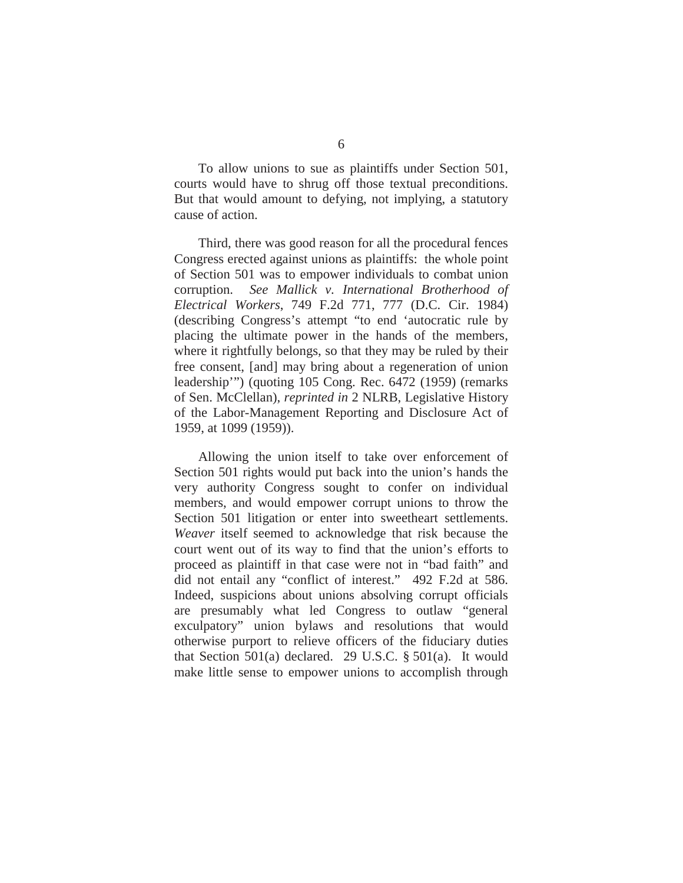To allow unions to sue as plaintiffs under Section 501, courts would have to shrug off those textual preconditions. But that would amount to defying, not implying, a statutory cause of action.

Third, there was good reason for all the procedural fences Congress erected against unions as plaintiffs: the whole point of Section 501 was to empower individuals to combat union corruption. *See Mallick v. International Brotherhood of Electrical Workers*, 749 F.2d 771, 777 (D.C. Cir. 1984) (describing Congress's attempt "to end 'autocratic rule by placing the ultimate power in the hands of the members, where it rightfully belongs, so that they may be ruled by their free consent, [and] may bring about a regeneration of union leadership'") (quoting 105 Cong. Rec. 6472 (1959) (remarks of Sen. McClellan), *reprinted in* 2 NLRB, Legislative History of the Labor-Management Reporting and Disclosure Act of 1959, at 1099 (1959)).

Allowing the union itself to take over enforcement of Section 501 rights would put back into the union's hands the very authority Congress sought to confer on individual members, and would empower corrupt unions to throw the Section 501 litigation or enter into sweetheart settlements. *Weaver* itself seemed to acknowledge that risk because the court went out of its way to find that the union's efforts to proceed as plaintiff in that case were not in "bad faith" and did not entail any "conflict of interest." 492 F.2d at 586. Indeed, suspicions about unions absolving corrupt officials are presumably what led Congress to outlaw "general exculpatory" union bylaws and resolutions that would otherwise purport to relieve officers of the fiduciary duties that Section 501(a) declared. 29 U.S.C.  $\S$  501(a). It would make little sense to empower unions to accomplish through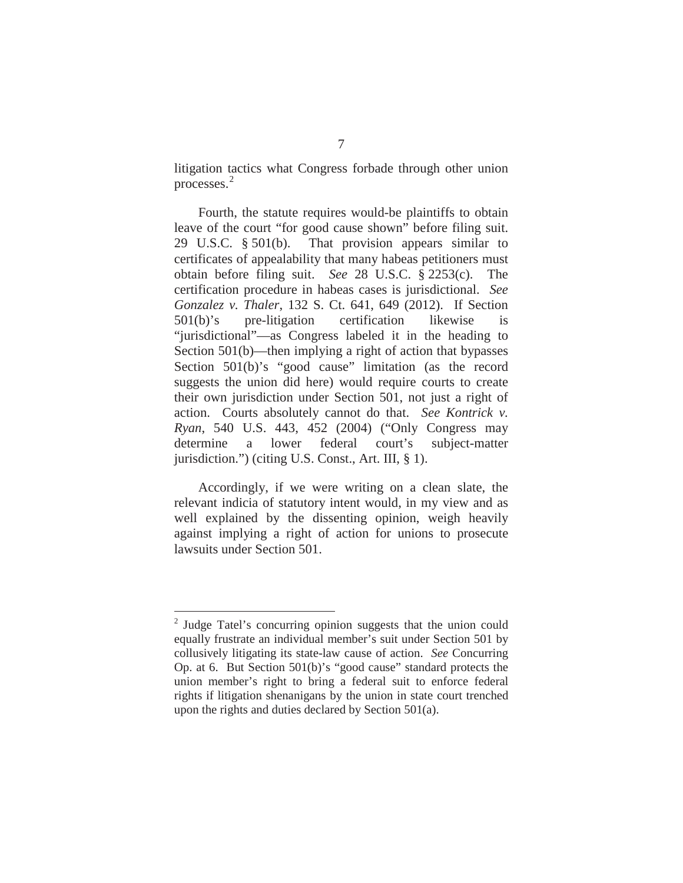litigation tactics what Congress forbade through other union processes.<sup>2</sup>

Fourth, the statute requires would-be plaintiffs to obtain leave of the court "for good cause shown" before filing suit. 29 U.S.C. § 501(b). That provision appears similar to certificates of appealability that many habeas petitioners must obtain before filing suit. *See* 28 U.S.C. § 2253(c). The certification procedure in habeas cases is jurisdictional. *See Gonzalez v. Thaler*, 132 S. Ct. 641, 649 (2012). If Section 501(b)'s pre-litigation certification likewise is "jurisdictional"—as Congress labeled it in the heading to Section 501(b)—then implying a right of action that bypasses Section 501(b)'s "good cause" limitation (as the record suggests the union did here) would require courts to create their own jurisdiction under Section 501, not just a right of action. Courts absolutely cannot do that. *See Kontrick v. Ryan*, 540 U.S. 443, 452 (2004) ("Only Congress may determine a lower federal court's subject-matter jurisdiction.") (citing U.S. Const., Art. III, § 1).

Accordingly, if we were writing on a clean slate, the relevant indicia of statutory intent would, in my view and as well explained by the dissenting opinion, weigh heavily against implying a right of action for unions to prosecute lawsuits under Section 501.

<sup>2</sup> Judge Tatel's concurring opinion suggests that the union could equally frustrate an individual member's suit under Section 501 by collusively litigating its state-law cause of action. *See* Concurring Op. at 6. But Section 501(b)'s "good cause" standard protects the union member's right to bring a federal suit to enforce federal rights if litigation shenanigans by the union in state court trenched upon the rights and duties declared by Section 501(a).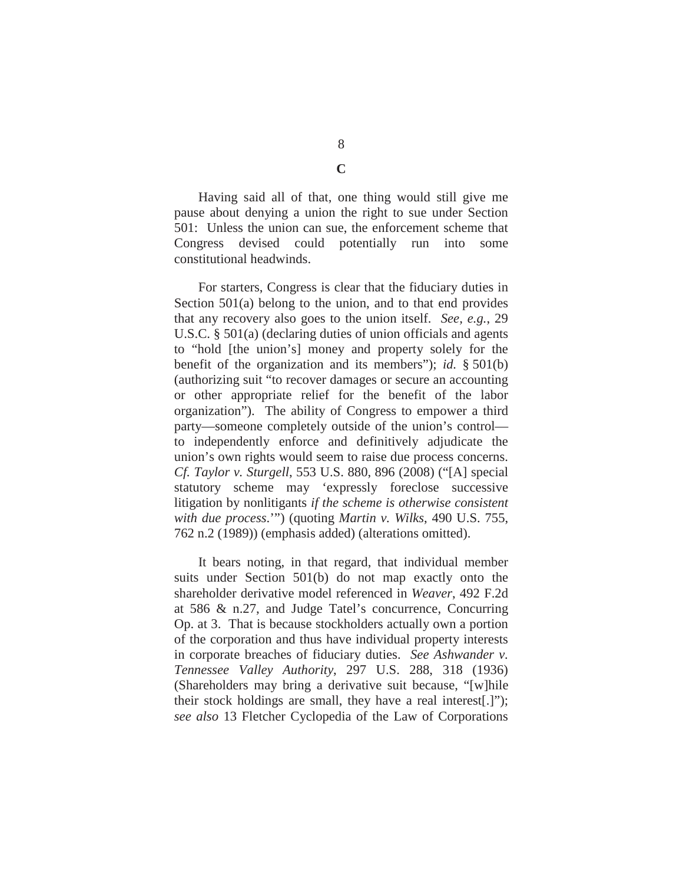Having said all of that, one thing would still give me pause about denying a union the right to sue under Section 501: Unless the union can sue, the enforcement scheme that Congress devised could potentially run into some constitutional headwinds.

For starters, Congress is clear that the fiduciary duties in Section 501(a) belong to the union, and to that end provides that any recovery also goes to the union itself. *See, e.g.*, 29 U.S.C. § 501(a) (declaring duties of union officials and agents to "hold [the union's] money and property solely for the benefit of the organization and its members"); *id.* § 501(b) (authorizing suit "to recover damages or secure an accounting or other appropriate relief for the benefit of the labor organization"). The ability of Congress to empower a third party—someone completely outside of the union's control to independently enforce and definitively adjudicate the union's own rights would seem to raise due process concerns. *Cf. Taylor v. Sturgell*, 553 U.S. 880, 896 (2008) ("[A] special statutory scheme may 'expressly foreclose successive litigation by nonlitigants *if the scheme is otherwise consistent with due process*.'") (quoting *Martin v. Wilks*, 490 U.S. 755, 762 n.2 (1989)) (emphasis added) (alterations omitted).

It bears noting, in that regard, that individual member suits under Section 501(b) do not map exactly onto the shareholder derivative model referenced in *Weaver*, 492 F.2d at 586 & n.27, and Judge Tatel's concurrence, Concurring Op. at 3. That is because stockholders actually own a portion of the corporation and thus have individual property interests in corporate breaches of fiduciary duties. *See Ashwander v. Tennessee Valley Authority*, 297 U.S. 288, 318 (1936) (Shareholders may bring a derivative suit because, "[w]hile their stock holdings are small, they have a real interest[.]"); *see also* 13 Fletcher Cyclopedia of the Law of Corporations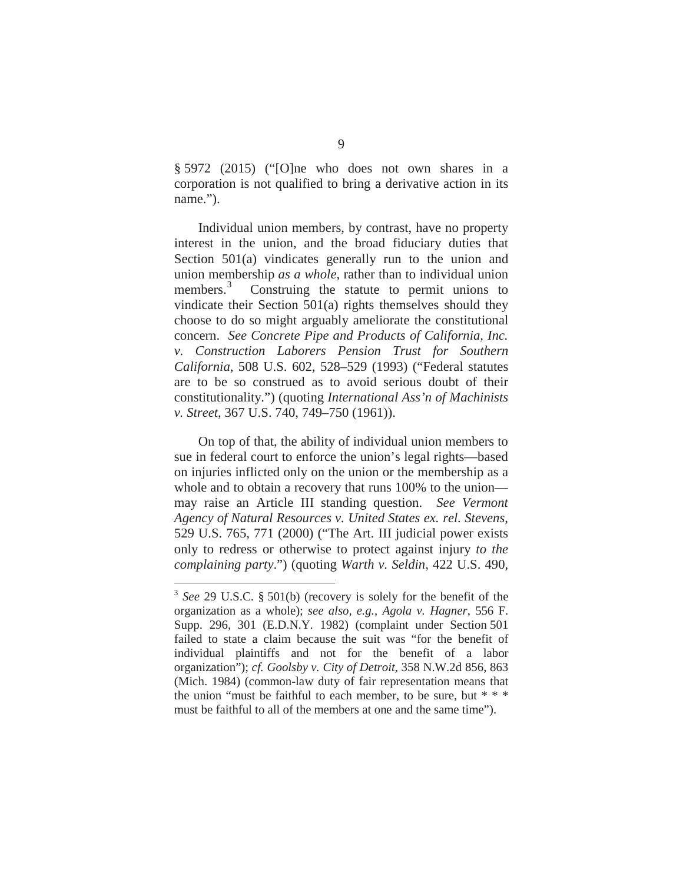§ 5972 (2015) ("[O]ne who does not own shares in a corporation is not qualified to bring a derivative action in its name.").

Individual union members, by contrast, have no property interest in the union, and the broad fiduciary duties that Section 501(a) vindicates generally run to the union and union membership *as a whole*, rather than to individual union members.<sup>3</sup> Construing the statute to permit unions to vindicate their Section 501(a) rights themselves should they choose to do so might arguably ameliorate the constitutional concern. *See Concrete Pipe and Products of California, Inc. v. Construction Laborers Pension Trust for Southern California*, 508 U.S. 602, 528–529 (1993) ("Federal statutes are to be so construed as to avoid serious doubt of their constitutionality.") (quoting *International Ass'n of Machinists v. Street*, 367 U.S. 740, 749–750 (1961)).

On top of that, the ability of individual union members to sue in federal court to enforce the union's legal rights—based on injuries inflicted only on the union or the membership as a whole and to obtain a recovery that runs 100% to the union may raise an Article III standing question. *See Vermont Agency of Natural Resources v. United States ex. rel. Stevens*, 529 U.S. 765, 771 (2000) ("The Art. III judicial power exists only to redress or otherwise to protect against injury *to the complaining party*.") (quoting *Warth v. Seldin*, 422 U.S. 490,

<sup>3</sup> *See* 29 U.S.C. § 501(b) (recovery is solely for the benefit of the organization as a whole); *see also, e.g.*, *Agola v. Hagner*, 556 F. Supp. 296, 301 (E.D.N.Y. 1982) (complaint under Section 501 failed to state a claim because the suit was "for the benefit of individual plaintiffs and not for the benefit of a labor organization"); *cf. Goolsby v. City of Detroit*, 358 N.W.2d 856, 863 (Mich. 1984) (common-law duty of fair representation means that the union "must be faithful to each member, to be sure, but  $* * *$ must be faithful to all of the members at one and the same time").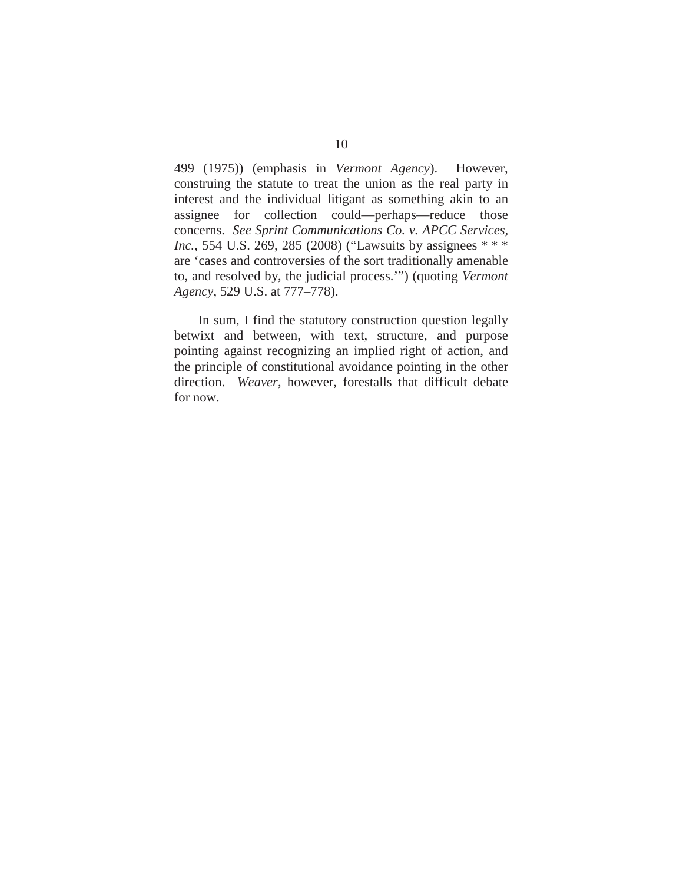499 (1975)) (emphasis in *Vermont Agency*). However, construing the statute to treat the union as the real party in interest and the individual litigant as something akin to an assignee for collection could—perhaps—reduce those concerns. *See Sprint Communications Co. v. APCC Services, Inc.*, 554 U.S. 269, 285 (2008) ("Lawsuits by assignees \*\*\* are 'cases and controversies of the sort traditionally amenable to, and resolved by, the judicial process.'") (quoting *Vermont Agency*, 529 U.S. at 777–778).

In sum, I find the statutory construction question legally betwixt and between, with text, structure, and purpose pointing against recognizing an implied right of action, and the principle of constitutional avoidance pointing in the other direction. *Weaver*, however, forestalls that difficult debate for now.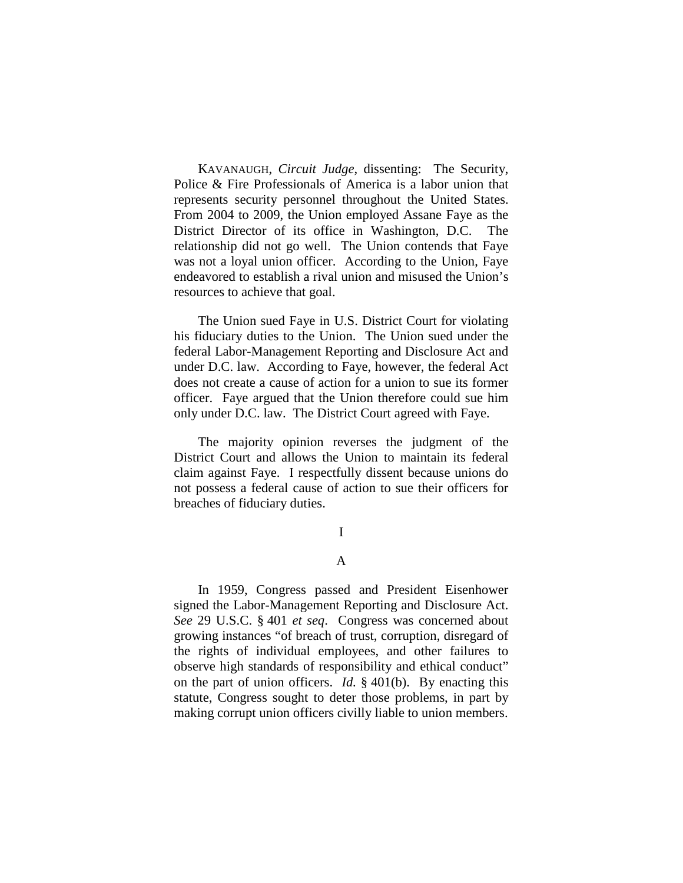KAVANAUGH, *Circuit Judge*, dissenting: The Security, Police & Fire Professionals of America is a labor union that represents security personnel throughout the United States. From 2004 to 2009, the Union employed Assane Faye as the District Director of its office in Washington, D.C. The relationship did not go well. The Union contends that Faye was not a loyal union officer. According to the Union, Faye endeavored to establish a rival union and misused the Union's resources to achieve that goal.

The Union sued Faye in U.S. District Court for violating his fiduciary duties to the Union. The Union sued under the federal Labor-Management Reporting and Disclosure Act and under D.C. law. According to Faye, however, the federal Act does not create a cause of action for a union to sue its former officer. Faye argued that the Union therefore could sue him only under D.C. law. The District Court agreed with Faye.

The majority opinion reverses the judgment of the District Court and allows the Union to maintain its federal claim against Faye. I respectfully dissent because unions do not possess a federal cause of action to sue their officers for breaches of fiduciary duties.

# I

# A

In 1959, Congress passed and President Eisenhower signed the Labor-Management Reporting and Disclosure Act. *See* 29 U.S.C. § 401 *et seq*. Congress was concerned about growing instances "of breach of trust, corruption, disregard of the rights of individual employees, and other failures to observe high standards of responsibility and ethical conduct" on the part of union officers. *Id.* § 401(b). By enacting this statute, Congress sought to deter those problems, in part by making corrupt union officers civilly liable to union members.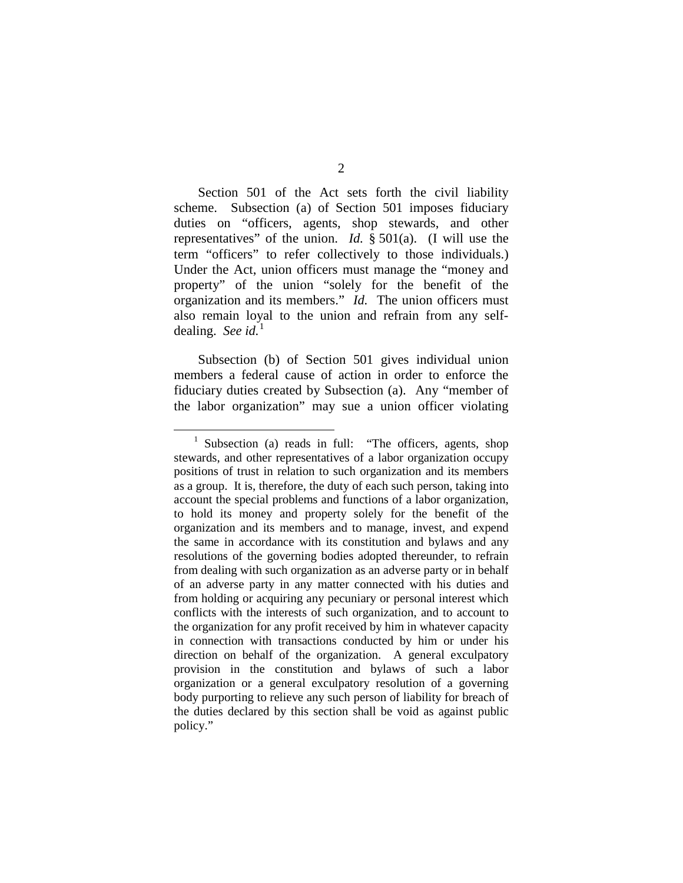Section 501 of the Act sets forth the civil liability scheme. Subsection (a) of Section 501 imposes fiduciary duties on "officers, agents, shop stewards, and other

representatives" of the union. *Id.* § 501(a). (I will use the term "officers" to refer collectively to those individuals.) Under the Act, union officers must manage the "money and property" of the union "solely for the benefit of the organization and its members." *Id.* The union officers must also remain loyal to the union and refrain from any selfdealing. *See id.*[1](#page-28-0)

Subsection (b) of Section 501 gives individual union members a federal cause of action in order to enforce the fiduciary duties created by Subsection (a). Any "member of the labor organization" may sue a union officer violating

<span id="page-28-0"></span><sup>&</sup>lt;sup>1</sup> Subsection (a) reads in full: "The officers, agents, shop stewards, and other representatives of a labor organization occupy positions of trust in relation to such organization and its members as a group. It is, therefore, the duty of each such person, taking into account the special problems and functions of a labor organization, to hold its money and property solely for the benefit of the organization and its members and to manage, invest, and expend the same in accordance with its constitution and bylaws and any resolutions of the governing bodies adopted thereunder, to refrain from dealing with such organization as an adverse party or in behalf of an adverse party in any matter connected with his duties and from holding or acquiring any pecuniary or personal interest which conflicts with the interests of such organization, and to account to the organization for any profit received by him in whatever capacity in connection with transactions conducted by him or under his direction on behalf of the organization. A general exculpatory provision in the constitution and bylaws of such a labor organization or a general exculpatory resolution of a governing body purporting to relieve any such person of liability for breach of the duties declared by this section shall be void as against public policy."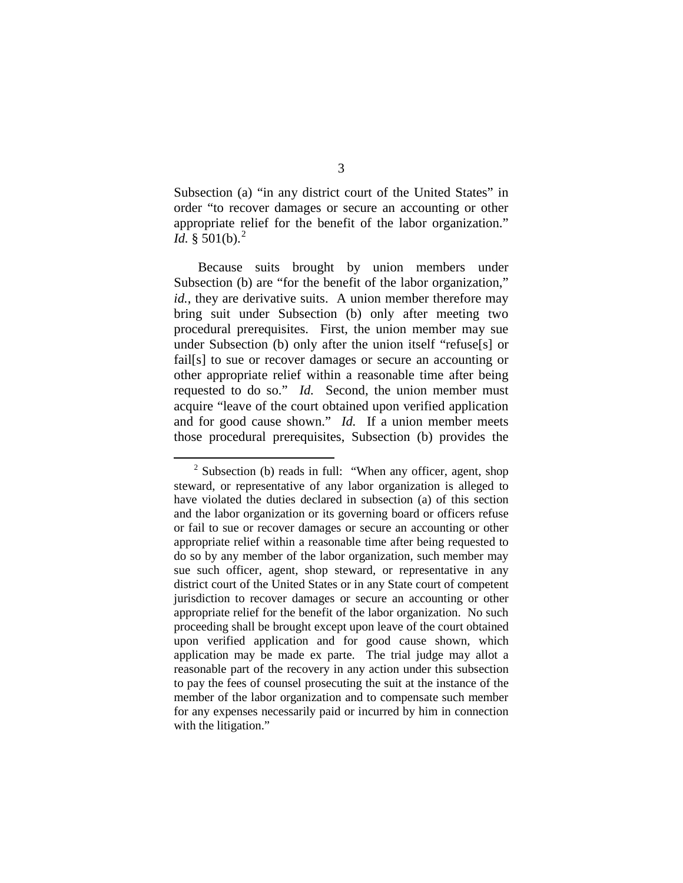Subsection (a) "in any district court of the United States" in order "to recover damages or secure an accounting or other appropriate relief for the benefit of the labor organization." *Id.* § 501(b).<sup>[2](#page-29-0)</sup>

Because suits brought by union members under Subsection (b) are "for the benefit of the labor organization," *id.*, they are derivative suits. A union member therefore may bring suit under Subsection (b) only after meeting two procedural prerequisites. First, the union member may sue under Subsection (b) only after the union itself "refuse[s] or fail[s] to sue or recover damages or secure an accounting or other appropriate relief within a reasonable time after being requested to do so." *Id.* Second, the union member must acquire "leave of the court obtained upon verified application and for good cause shown." *Id.* If a union member meets those procedural prerequisites, Subsection (b) provides the

<span id="page-29-0"></span> $2$  Subsection (b) reads in full: "When any officer, agent, shop steward, or representative of any labor organization is alleged to have violated the duties declared in subsection (a) of this section and the labor organization or its governing board or officers refuse or fail to sue or recover damages or secure an accounting or other appropriate relief within a reasonable time after being requested to do so by any member of the labor organization, such member may sue such officer, agent, shop steward, or representative in any district court of the United States or in any State court of competent jurisdiction to recover damages or secure an accounting or other appropriate relief for the benefit of the labor organization. No such proceeding shall be brought except upon leave of the court obtained upon verified application and for good cause shown, which application may be made ex parte. The trial judge may allot a reasonable part of the recovery in any action under this subsection to pay the fees of counsel prosecuting the suit at the instance of the member of the labor organization and to compensate such member for any expenses necessarily paid or incurred by him in connection with the litigation."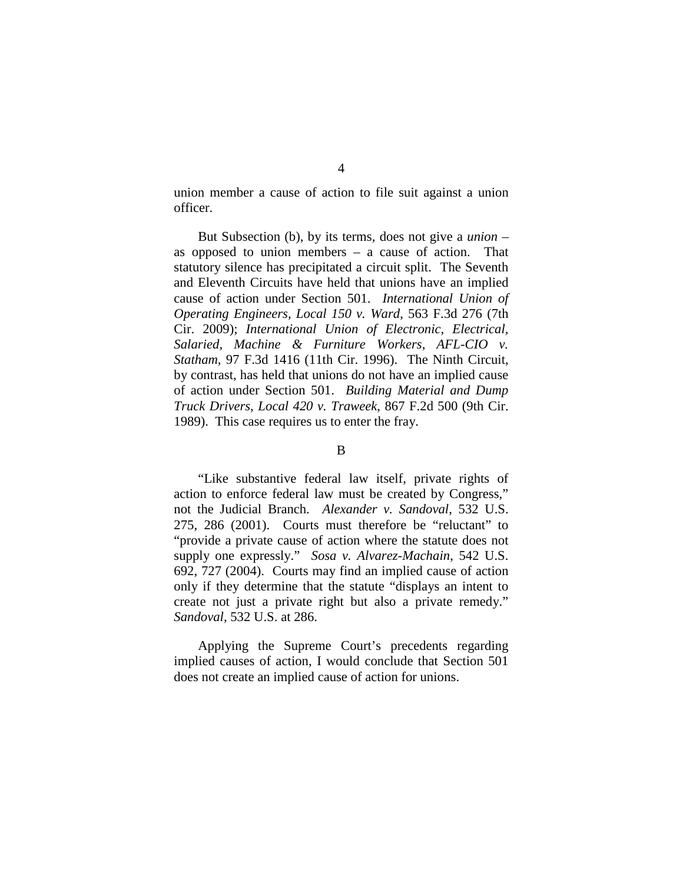union member a cause of action to file suit against a union officer.

But Subsection (b), by its terms, does not give a *union* – as opposed to union members – a cause of action. That statutory silence has precipitated a circuit split. The Seventh and Eleventh Circuits have held that unions have an implied cause of action under Section 501. *International Union of Operating Engineers, Local 150 v. Ward*, 563 F.3d 276 (7th Cir. 2009); *International Union of Electronic, Electrical, Salaried, Machine & Furniture Workers, AFL-CIO v. Statham*, 97 F.3d 1416 (11th Cir. 1996). The Ninth Circuit, by contrast, has held that unions do not have an implied cause of action under Section 501. *Building Material and Dump Truck Drivers, Local 420 v. Traweek*, 867 F.2d 500 (9th Cir. 1989). This case requires us to enter the fray.

#### B

"Like substantive federal law itself, private rights of action to enforce federal law must be created by Congress," not the Judicial Branch. *Alexander v. Sandoval*, 532 U.S. 275, 286 (2001). Courts must therefore be "reluctant" to "provide a private cause of action where the statute does not supply one expressly." *Sosa v. Alvarez-Machain*, 542 U.S. 692, 727 (2004). Courts may find an implied cause of action only if they determine that the statute "displays an intent to create not just a private right but also a private remedy." *Sandoval*, 532 U.S. at 286.

Applying the Supreme Court's precedents regarding implied causes of action, I would conclude that Section 501 does not create an implied cause of action for unions.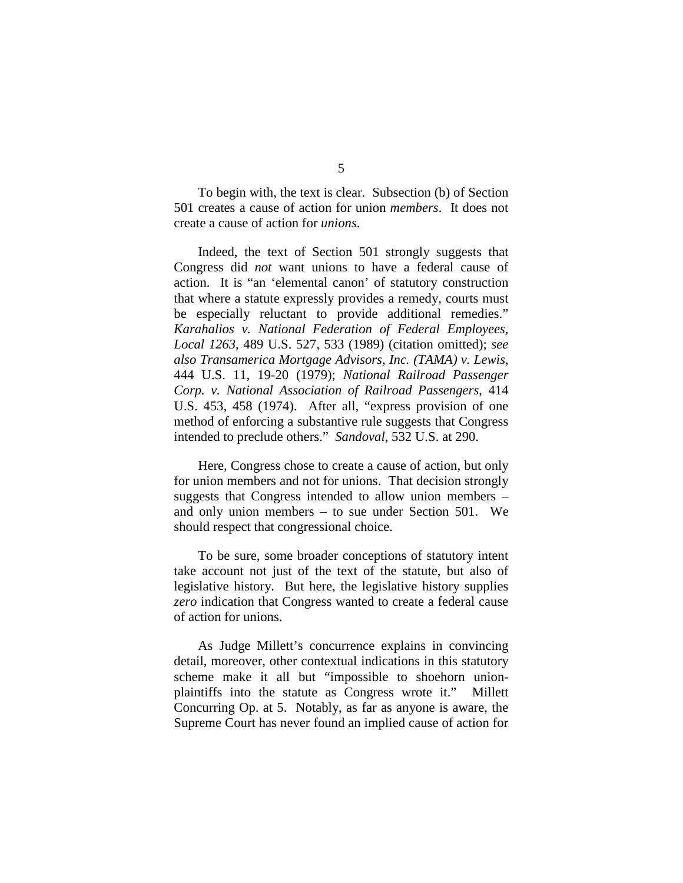To begin with, the text is clear. Subsection (b) of Section 501 creates a cause of action for union *members*. It does not create a cause of action for *unions*.

Indeed, the text of Section 501 strongly suggests that Congress did *not* want unions to have a federal cause of action. It is "an 'elemental canon' of statutory construction that where a statute expressly provides a remedy, courts must be especially reluctant to provide additional remedies." *Karahalios v. National Federation of Federal Employees, Local 1263*, 489 U.S. 527, 533 (1989) (citation omitted); *see also Transamerica Mortgage Advisors, Inc. (TAMA) v. Lewis*, 444 U.S. 11, 19-20 (1979); *National Railroad Passenger Corp. v. National Association of Railroad Passengers*, 414 U.S. 453, 458 (1974). After all, "express provision of one method of enforcing a substantive rule suggests that Congress intended to preclude others." *Sandoval*, 532 U.S. at 290.

Here, Congress chose to create a cause of action, but only for union members and not for unions. That decision strongly suggests that Congress intended to allow union members – and only union members – to sue under Section 501. We should respect that congressional choice.

To be sure, some broader conceptions of statutory intent take account not just of the text of the statute, but also of legislative history. But here, the legislative history supplies *zero* indication that Congress wanted to create a federal cause of action for unions.

As Judge Millett's concurrence explains in convincing detail, moreover, other contextual indications in this statutory scheme make it all but "impossible to shoehorn unionplaintiffs into the statute as Congress wrote it." Millett Concurring Op. at 5. Notably, as far as anyone is aware, the Supreme Court has never found an implied cause of action for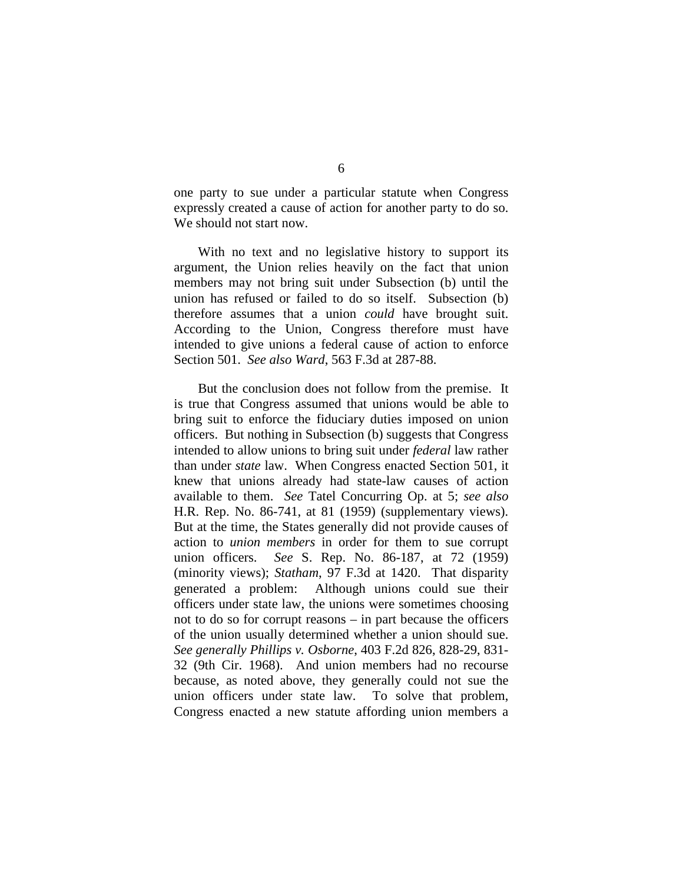one party to sue under a particular statute when Congress expressly created a cause of action for another party to do so. We should not start now.

With no text and no legislative history to support its argument, the Union relies heavily on the fact that union members may not bring suit under Subsection (b) until the union has refused or failed to do so itself. Subsection (b) therefore assumes that a union *could* have brought suit. According to the Union, Congress therefore must have intended to give unions a federal cause of action to enforce Section 501. *See also Ward*, 563 F.3d at 287-88.

But the conclusion does not follow from the premise. It is true that Congress assumed that unions would be able to bring suit to enforce the fiduciary duties imposed on union officers. But nothing in Subsection (b) suggests that Congress intended to allow unions to bring suit under *federal* law rather than under *state* law. When Congress enacted Section 501, it knew that unions already had state-law causes of action available to them. *See* Tatel Concurring Op. at 5; *see also* H.R. Rep. No. 86-741, at 81 (1959) (supplementary views). But at the time, the States generally did not provide causes of action to *union members* in order for them to sue corrupt union officers. *See* S. Rep. No. 86-187, at 72 (1959) (minority views); *Statham*, 97 F.3d at 1420. That disparity generated a problem: Although unions could sue their officers under state law, the unions were sometimes choosing not to do so for corrupt reasons – in part because the officers of the union usually determined whether a union should sue. *See generally Phillips v. Osborne*, 403 F.2d 826, 828-29, 831- 32 (9th Cir. 1968). And union members had no recourse because, as noted above, they generally could not sue the union officers under state law. To solve that problem, Congress enacted a new statute affording union members a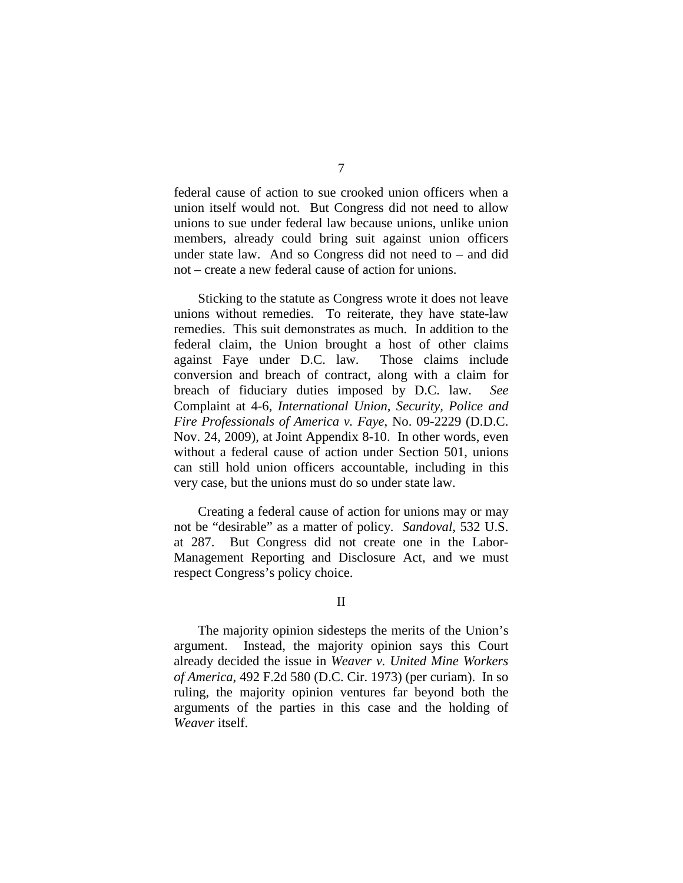federal cause of action to sue crooked union officers when a union itself would not. But Congress did not need to allow unions to sue under federal law because unions, unlike union members, already could bring suit against union officers under state law. And so Congress did not need to – and did not – create a new federal cause of action for unions.

Sticking to the statute as Congress wrote it does not leave unions without remedies. To reiterate, they have state-law remedies. This suit demonstrates as much. In addition to the federal claim, the Union brought a host of other claims against Faye under D.C. law. Those claims include conversion and breach of contract, along with a claim for breach of fiduciary duties imposed by D.C. law. *See* Complaint at 4-6, *International Union, Security, Police and Fire Professionals of America v. Faye*, No. 09-2229 (D.D.C. Nov. 24, 2009), at Joint Appendix 8-10. In other words, even without a federal cause of action under Section 501, unions can still hold union officers accountable, including in this very case, but the unions must do so under state law.

Creating a federal cause of action for unions may or may not be "desirable" as a matter of policy. *Sandoval*, 532 U.S. at 287. But Congress did not create one in the Labor-Management Reporting and Disclosure Act, and we must respect Congress's policy choice.

#### II

The majority opinion sidesteps the merits of the Union's argument. Instead, the majority opinion says this Court already decided the issue in *Weaver v. United Mine Workers of America*, 492 F.2d 580 (D.C. Cir. 1973) (per curiam). In so ruling, the majority opinion ventures far beyond both the arguments of the parties in this case and the holding of *Weaver* itself.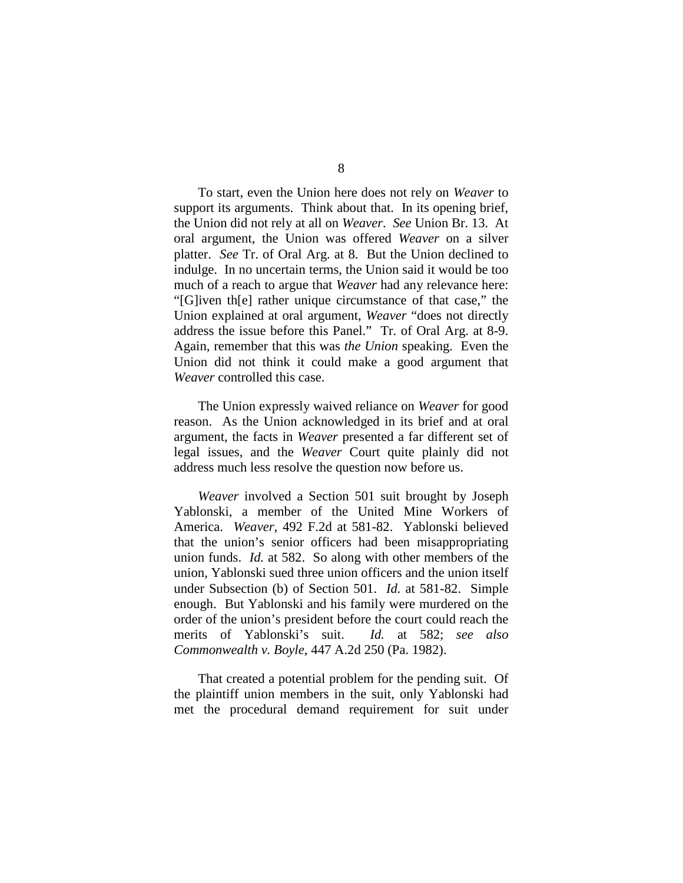To start, even the Union here does not rely on *Weaver* to support its arguments. Think about that. In its opening brief, the Union did not rely at all on *Weaver*. *See* Union Br. 13. At oral argument, the Union was offered *Weaver* on a silver platter. *See* Tr. of Oral Arg. at 8. But the Union declined to indulge. In no uncertain terms, the Union said it would be too much of a reach to argue that *Weaver* had any relevance here: "[G]iven th[e] rather unique circumstance of that case," the Union explained at oral argument, *Weaver* "does not directly address the issue before this Panel." Tr. of Oral Arg. at 8-9. Again, remember that this was *the Union* speaking. Even the Union did not think it could make a good argument that *Weaver* controlled this case.

The Union expressly waived reliance on *Weaver* for good reason. As the Union acknowledged in its brief and at oral argument, the facts in *Weaver* presented a far different set of legal issues, and the *Weaver* Court quite plainly did not address much less resolve the question now before us.

*Weaver* involved a Section 501 suit brought by Joseph Yablonski, a member of the United Mine Workers of America. *Weaver*, 492 F.2d at 581-82. Yablonski believed that the union's senior officers had been misappropriating union funds. *Id.* at 582. So along with other members of the union, Yablonski sued three union officers and the union itself under Subsection (b) of Section 501. *Id.* at 581-82. Simple enough. But Yablonski and his family were murdered on the order of the union's president before the court could reach the merits of Yablonski's suit. *Id.* at 582; *see also Commonwealth v. Boyle*, 447 A.2d 250 (Pa. 1982).

That created a potential problem for the pending suit. Of the plaintiff union members in the suit, only Yablonski had met the procedural demand requirement for suit under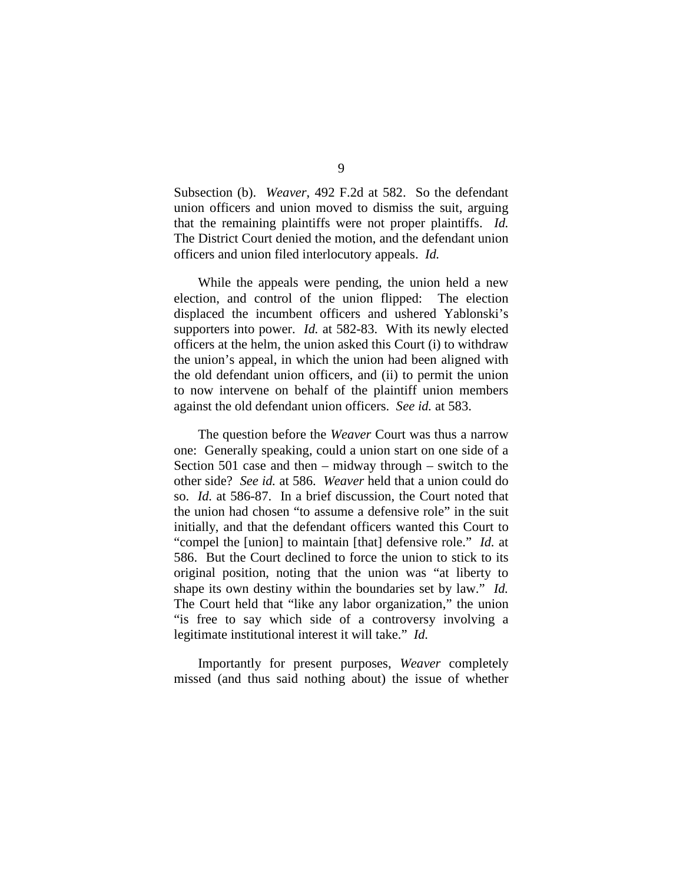Subsection (b). *Weaver*, 492 F.2d at 582. So the defendant union officers and union moved to dismiss the suit, arguing that the remaining plaintiffs were not proper plaintiffs. *Id.* The District Court denied the motion, and the defendant union officers and union filed interlocutory appeals. *Id.*

While the appeals were pending, the union held a new election, and control of the union flipped: The election displaced the incumbent officers and ushered Yablonski's supporters into power. *Id.* at 582-83. With its newly elected officers at the helm, the union asked this Court (i) to withdraw the union's appeal, in which the union had been aligned with the old defendant union officers, and (ii) to permit the union to now intervene on behalf of the plaintiff union members against the old defendant union officers. *See id.* at 583.

The question before the *Weaver* Court was thus a narrow one: Generally speaking, could a union start on one side of a Section 501 case and then – midway through – switch to the other side? *See id.* at 586. *Weaver* held that a union could do so. *Id.* at 586-87. In a brief discussion, the Court noted that the union had chosen "to assume a defensive role" in the suit initially, and that the defendant officers wanted this Court to "compel the [union] to maintain [that] defensive role." *Id.* at 586. But the Court declined to force the union to stick to its original position, noting that the union was "at liberty to shape its own destiny within the boundaries set by law." *Id.* The Court held that "like any labor organization," the union "is free to say which side of a controversy involving a legitimate institutional interest it will take." *Id.*

Importantly for present purposes, *Weaver* completely missed (and thus said nothing about) the issue of whether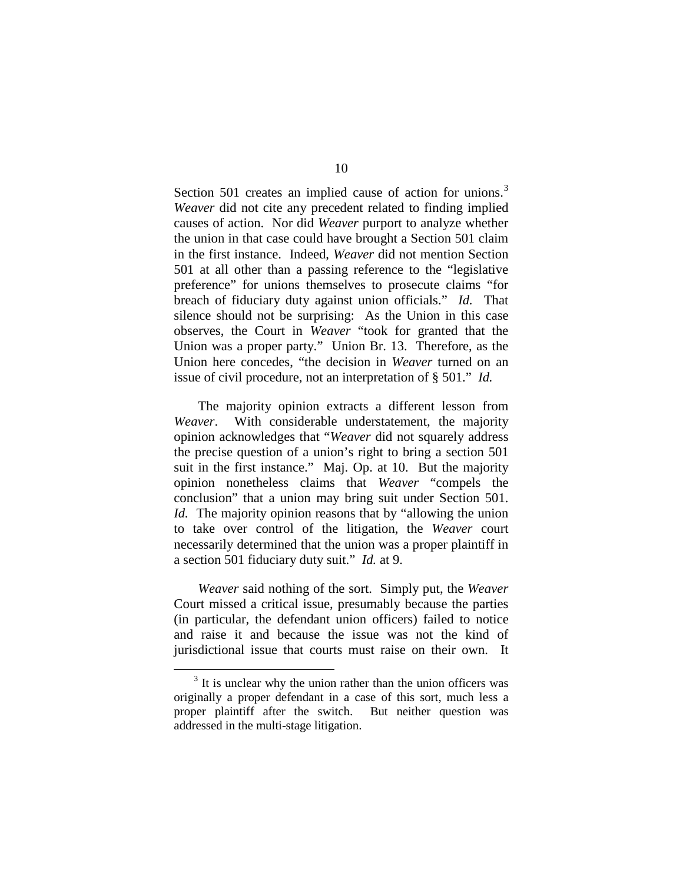Section 501 creates an implied cause of action for unions.<sup>[3](#page-36-0)</sup> *Weaver* did not cite any precedent related to finding implied causes of action. Nor did *Weaver* purport to analyze whether the union in that case could have brought a Section 501 claim in the first instance. Indeed, *Weaver* did not mention Section 501 at all other than a passing reference to the "legislative preference" for unions themselves to prosecute claims "for breach of fiduciary duty against union officials." *Id.* That silence should not be surprising: As the Union in this case observes, the Court in *Weaver* "took for granted that the Union was a proper party." Union Br. 13. Therefore, as the Union here concedes, "the decision in *Weaver* turned on an issue of civil procedure, not an interpretation of § 501." *Id.*

The majority opinion extracts a different lesson from *Weaver*. With considerable understatement, the majority opinion acknowledges that "*Weaver* did not squarely address the precise question of a union's right to bring a section 501 suit in the first instance." Maj. Op. at 10. But the majority opinion nonetheless claims that *Weaver* "compels the conclusion" that a union may bring suit under Section 501. *Id.* The majority opinion reasons that by "allowing the union to take over control of the litigation, the *Weaver* court necessarily determined that the union was a proper plaintiff in a section 501 fiduciary duty suit." *Id.* at 9.

*Weaver* said nothing of the sort. Simply put, the *Weaver* Court missed a critical issue, presumably because the parties (in particular, the defendant union officers) failed to notice and raise it and because the issue was not the kind of jurisdictional issue that courts must raise on their own. It

<span id="page-36-0"></span> $3<sup>3</sup>$  It is unclear why the union rather than the union officers was originally a proper defendant in a case of this sort, much less a proper plaintiff after the switch. But neither question was addressed in the multi-stage litigation.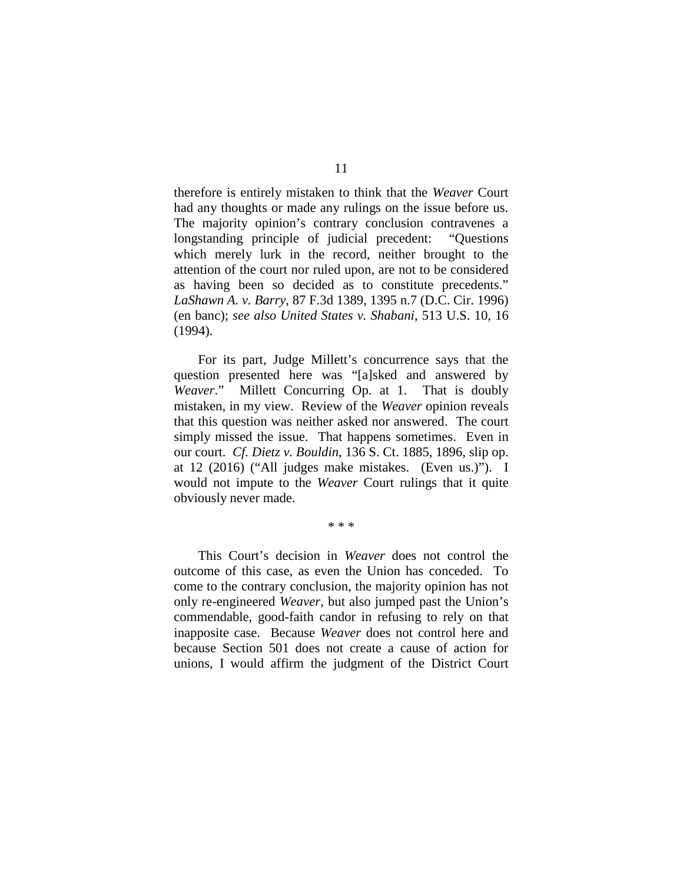therefore is entirely mistaken to think that the *Weaver* Court had any thoughts or made any rulings on the issue before us. The majority opinion's contrary conclusion contravenes a longstanding principle of judicial precedent: "Questions which merely lurk in the record, neither brought to the attention of the court nor ruled upon, are not to be considered as having been so decided as to constitute precedents." *LaShawn A. v. Barry*, 87 F.3d 1389, 1395 n.7 (D.C. Cir. 1996) (en banc); *see also United States v. Shabani*, 513 U.S. 10, 16 (1994).

For its part, Judge Millett's concurrence says that the question presented here was "[a]sked and answered by *Weaver*." Millett Concurring Op. at 1. That is doubly mistaken, in my view. Review of the *Weaver* opinion reveals that this question was neither asked nor answered. The court simply missed the issue. That happens sometimes. Even in our court. *Cf. Dietz v. Bouldin*, 136 S. Ct. 1885, 1896, slip op. at 12 (2016) ("All judges make mistakes. (Even us.)"). I would not impute to the *Weaver* Court rulings that it quite obviously never made.

\* \* \*

This Court's decision in *Weaver* does not control the outcome of this case, as even the Union has conceded. To come to the contrary conclusion, the majority opinion has not only re-engineered *Weaver*, but also jumped past the Union's commendable, good-faith candor in refusing to rely on that inapposite case. Because *Weaver* does not control here and because Section 501 does not create a cause of action for unions, I would affirm the judgment of the District Court